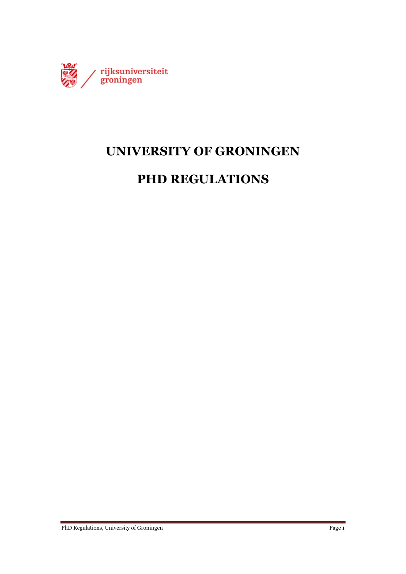

# **UNIVERSITY OF GRONINGEN**

# **PHD REGULATIONS**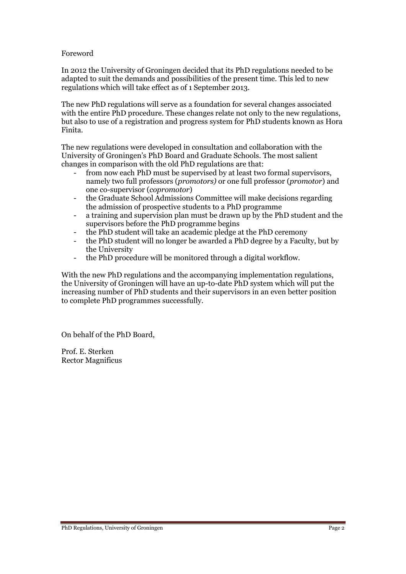#### Foreword

In 2012 the University of Groningen decided that its PhD regulations needed to be adapted to suit the demands and possibilities of the present time. This led to new regulations which will take effect as of 1 September 2013.

The new PhD regulations will serve as a foundation for several changes associated with the entire PhD procedure. These changes relate not only to the new regulations, but also to use of a registration and progress system for PhD students known as Hora Finita.

The new regulations were developed in consultation and collaboration with the University of Groningen's PhD Board and Graduate Schools. The most salient changes in comparison with the old PhD regulations are that:

- from now each PhD must be supervised by at least two formal supervisors, namely two full professors (*promotors)* or one full professor (*promotor*) and one co-supervisor (*copromotor*)
- the Graduate School Admissions Committee will make decisions regarding the admission of prospective students to a PhD programme
- a training and supervision plan must be drawn up by the PhD student and the supervisors before the PhD programme begins
- the PhD student will take an academic pledge at the PhD ceremony
- the PhD student will no longer be awarded a PhD degree by a Faculty, but by the University
- the PhD procedure will be monitored through a digital workflow.

With the new PhD regulations and the accompanying implementation regulations, the University of Groningen will have an up-to-date PhD system which will put the increasing number of PhD students and their supervisors in an even better position to complete PhD programmes successfully.

On behalf of the PhD Board,

Prof. E. Sterken Rector Magnificus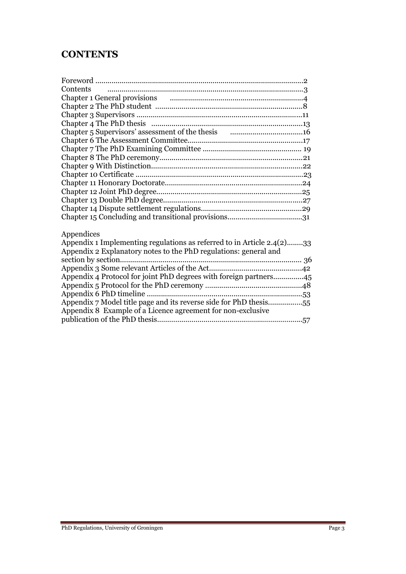# **CONTENTS**

| Contents |  |
|----------|--|
|          |  |
|          |  |
|          |  |
|          |  |
|          |  |
|          |  |
|          |  |
|          |  |
|          |  |
|          |  |
|          |  |
|          |  |
|          |  |
|          |  |
|          |  |
|          |  |

## Appendices

| Appendix 1 Implementing regulations as referred to in Article 2.4(2)33 |  |
|------------------------------------------------------------------------|--|
| Appendix 2 Explanatory notes to the PhD regulations: general and       |  |
|                                                                        |  |
|                                                                        |  |
| Appendix 4 Protocol for joint PhD degrees with foreign partners45      |  |
|                                                                        |  |
|                                                                        |  |
| Appendix 7 Model title page and its reverse side for PhD thesis55      |  |
| Appendix 8 Example of a Licence agreement for non-exclusive            |  |
|                                                                        |  |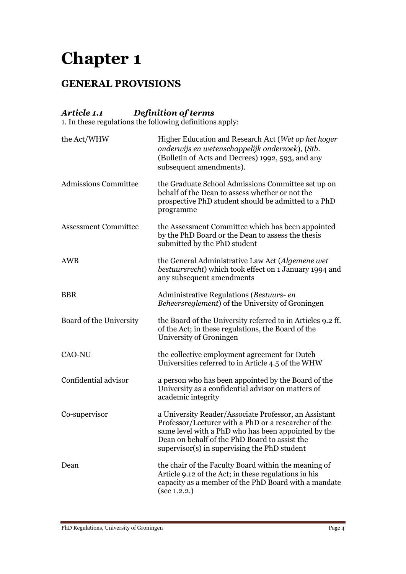# **GENERAL PROVISIONS**

# *Article 1.1 Definition of terms*

1. In these regulations the following definitions apply:

| the Act/WHW                 | Higher Education and Research Act (Wet op het hoger<br>onderwijs en wetenschappelijk onderzoek), (Stb.<br>(Bulletin of Acts and Decrees) 1992, 593, and any<br>subsequent amendments).                                                                                |
|-----------------------------|-----------------------------------------------------------------------------------------------------------------------------------------------------------------------------------------------------------------------------------------------------------------------|
| <b>Admissions Committee</b> | the Graduate School Admissions Committee set up on<br>behalf of the Dean to assess whether or not the<br>prospective PhD student should be admitted to a PhD<br>programme                                                                                             |
| <b>Assessment Committee</b> | the Assessment Committee which has been appointed<br>by the PhD Board or the Dean to assess the thesis<br>submitted by the PhD student                                                                                                                                |
| AWB                         | the General Administrative Law Act (Algemene wet<br>bestuursrecht) which took effect on 1 January 1994 and<br>any subsequent amendments                                                                                                                               |
| <b>BBR</b>                  | Administrative Regulations (Bestuurs- en<br><i>Beheersreglement</i> ) of the University of Groningen                                                                                                                                                                  |
| Board of the University     | the Board of the University referred to in Articles 9.2 ff.<br>of the Act; in these regulations, the Board of the<br>University of Groningen                                                                                                                          |
| <b>CAO-NU</b>               | the collective employment agreement for Dutch<br>Universities referred to in Article 4.5 of the WHW                                                                                                                                                                   |
| Confidential advisor        | a person who has been appointed by the Board of the<br>University as a confidential advisor on matters of<br>academic integrity                                                                                                                                       |
| Co-supervisor               | a University Reader/Associate Professor, an Assistant<br>Professor/Lecturer with a PhD or a researcher of the<br>same level with a PhD who has been appointed by the<br>Dean on behalf of the PhD Board to assist the<br>supervisor(s) in supervising the PhD student |
| Dean                        | the chair of the Faculty Board within the meaning of<br>Article 9.12 of the Act; in these regulations in his<br>capacity as a member of the PhD Board with a mandate<br>(see 1.2.2.)                                                                                  |
|                             |                                                                                                                                                                                                                                                                       |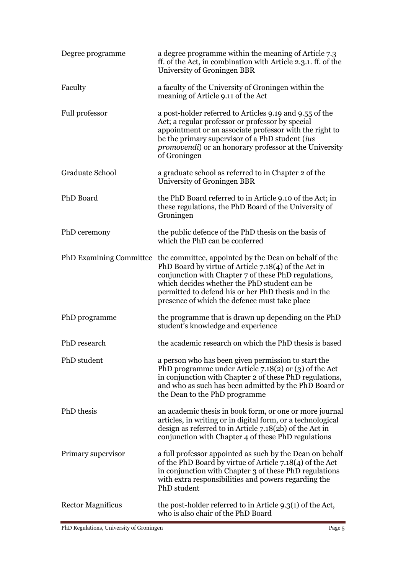| Degree programme               | a degree programme within the meaning of Article 7.3<br>ff. of the Act, in combination with Article 2.3.1. ff. of the<br>University of Groningen BBR                                                                                                                                                                           |
|--------------------------------|--------------------------------------------------------------------------------------------------------------------------------------------------------------------------------------------------------------------------------------------------------------------------------------------------------------------------------|
| Faculty                        | a faculty of the University of Groningen within the<br>meaning of Article 9.11 of the Act                                                                                                                                                                                                                                      |
| Full professor                 | a post-holder referred to Articles 9.19 and 9.55 of the<br>Act; a regular professor or professor by special<br>appointment or an associate professor with the right to<br>be the primary supervisor of a PhD student (ius<br><i>promovendi</i> ) or an honorary professor at the University<br>of Groningen                    |
| Graduate School                | a graduate school as referred to in Chapter 2 of the<br>University of Groningen BBR                                                                                                                                                                                                                                            |
| PhD Board                      | the PhD Board referred to in Article 9.10 of the Act; in<br>these regulations, the PhD Board of the University of<br>Groningen                                                                                                                                                                                                 |
| PhD ceremony                   | the public defence of the PhD thesis on the basis of<br>which the PhD can be conferred                                                                                                                                                                                                                                         |
| <b>PhD Examining Committee</b> | the committee, appointed by the Dean on behalf of the<br>PhD Board by virtue of Article 7.18(4) of the Act in<br>conjunction with Chapter 7 of these PhD regulations,<br>which decides whether the PhD student can be<br>permitted to defend his or her PhD thesis and in the<br>presence of which the defence must take place |
| PhD programme                  | the programme that is drawn up depending on the PhD<br>student's knowledge and experience                                                                                                                                                                                                                                      |
| PhD research                   | the academic research on which the PhD thesis is based                                                                                                                                                                                                                                                                         |
| PhD student                    | a person who has been given permission to start the<br>PhD programme under Article 7.18(2) or (3) of the Act<br>in conjunction with Chapter 2 of these PhD regulations,<br>and who as such has been admitted by the PhD Board or<br>the Dean to the PhD programme                                                              |
| PhD thesis                     | an academic thesis in book form, or one or more journal<br>articles, in writing or in digital form, or a technological<br>design as referred to in Article $7.18(2b)$ of the Act in<br>conjunction with Chapter 4 of these PhD regulations                                                                                     |
| Primary supervisor             | a full professor appointed as such by the Dean on behalf<br>of the PhD Board by virtue of Article 7.18(4) of the Act<br>in conjunction with Chapter 3 of these PhD regulations<br>with extra responsibilities and powers regarding the<br>PhD student                                                                          |
| <b>Rector Magnificus</b>       | the post-holder referred to in Article 9.3(1) of the Act,<br>who is also chair of the PhD Board                                                                                                                                                                                                                                |

PhD Regulations, University of Groningen Page 5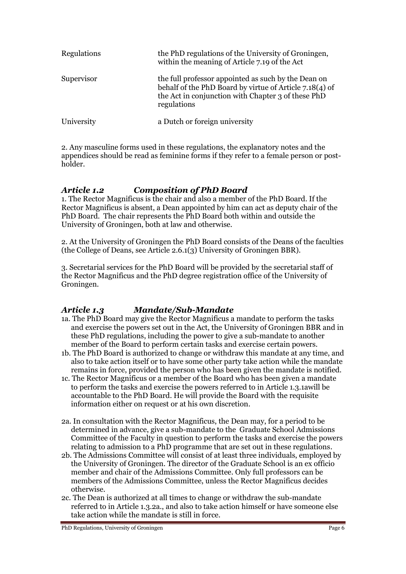| <b>Regulations</b> | the PhD regulations of the University of Groningen,<br>within the meaning of Article 7.19 of the Act                                                                                |
|--------------------|-------------------------------------------------------------------------------------------------------------------------------------------------------------------------------------|
| Supervisor         | the full professor appointed as such by the Dean on<br>behalf of the PhD Board by virtue of Article 7.18(4) of<br>the Act in conjunction with Chapter 3 of these PhD<br>regulations |
| University         | a Dutch or foreign university                                                                                                                                                       |

2. Any masculine forms used in these regulations, the explanatory notes and the appendices should be read as feminine forms if they refer to a female person or postholder.

### *Article 1.2 Composition of PhD Board*

1. The Rector Magnificus is the chair and also a member of the PhD Board. If the Rector Magnificus is absent, a Dean appointed by him can act as deputy chair of the PhD Board. The chair represents the PhD Board both within and outside the University of Groningen, both at law and otherwise.

2. At the University of Groningen the PhD Board consists of the Deans of the faculties (the College of Deans, see Article 2.6.1(3) University of Groningen BBR).

3. Secretarial services for the PhD Board will be provided by the secretarial staff of the Rector Magnificus and the PhD degree registration office of the University of Groningen.

# *Article 1.3 Mandate/Sub-Mandate*

- 1a. The PhD Board may give the Rector Magnificus a mandate to perform the tasks and exercise the powers set out in the Act, the University of Groningen BBR and in these PhD regulations, including the power to give a sub-mandate to another member of the Board to perform certain tasks and exercise certain powers.
- 1b. The PhD Board is authorized to change or withdraw this mandate at any time, and also to take action itself or to have some other party take action while the mandate remains in force, provided the person who has been given the mandate is notified.
- 1c. The Rector Magnificus or a member of the Board who has been given a mandate to perform the tasks and exercise the powers referred to in Article 1.3.1awill be accountable to the PhD Board. He will provide the Board with the requisite information either on request or at his own discretion.
- 2a. In consultation with the Rector Magnificus, the Dean may, for a period to be determined in advance, give a sub-mandate to the Graduate School Admissions Committee of the Faculty in question to perform the tasks and exercise the powers relating to admission to a PhD programme that are set out in these regulations.
- 2b. The Admissions Committee will consist of at least three individuals, employed by the University of Groningen. The director of the Graduate School is an ex officio member and chair of the Admissions Committee. Only full professors can be members of the Admissions Committee, unless the Rector Magnificus decides otherwise.
- 2c. The Dean is authorized at all times to change or withdraw the sub-mandate referred to in Article 1.3.2a., and also to take action himself or have someone else take action while the mandate is still in force.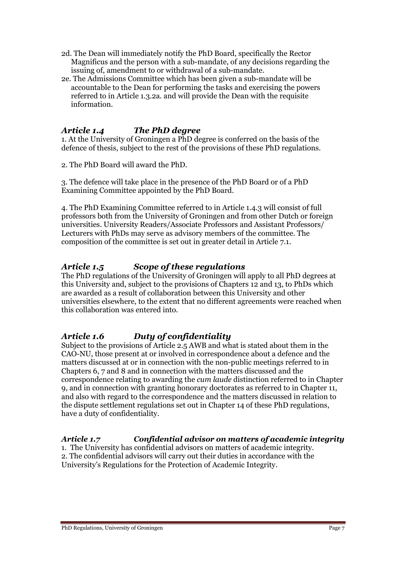- 2d. The Dean will immediately notify the PhD Board, specifically the Rector Magnificus and the person with a sub-mandate, of any decisions regarding the issuing of, amendment to or withdrawal of a sub-mandate.
- 2e. The Admissions Committee which has been given a sub-mandate will be accountable to the Dean for performing the tasks and exercising the powers referred to in Article 1.3.2a. and will provide the Dean with the requisite information.

# *Article 1.4 The PhD degree*

1. At the University of Groningen a PhD degree is conferred on the basis of the defence of thesis, subject to the rest of the provisions of these PhD regulations.

2. The PhD Board will award the PhD.

3. The defence will take place in the presence of the PhD Board or of a PhD Examining Committee appointed by the PhD Board.

4. The PhD Examining Committee referred to in Article 1.4.3 will consist of full professors both from the University of Groningen and from other Dutch or foreign universities. University Readers/Associate Professors and Assistant Professors/ Lecturers with PhDs may serve as advisory members of the committee. The composition of the committee is set out in greater detail in Article 7.1.

### *Article 1.5 Scope of these regulations*

The PhD regulations of the University of Groningen will apply to all PhD degrees at this University and, subject to the provisions of Chapters 12 and 13, to PhDs which are awarded as a result of collaboration between this University and other universities elsewhere, to the extent that no different agreements were reached when this collaboration was entered into.

# *Article 1.6 Duty of confidentiality*

Subject to the provisions of Article 2.5 AWB and what is stated about them in the CAO-NU, those present at or involved in correspondence about a defence and the matters discussed at or in connection with the non-public meetings referred to in Chapters 6, 7 and 8 and in connection with the matters discussed and the correspondence relating to awarding the *cum laude* distinction referred to in Chapter 9, and in connection with granting honorary doctorates as referred to in Chapter 11, and also with regard to the correspondence and the matters discussed in relation to the dispute settlement regulations set out in Chapter 14 of these PhD regulations, have a duty of confidentiality.

### *Article 1.7 Confidential advisor on matters of academic integrity*

1. The University has confidential advisors on matters of academic integrity. 2. The confidential advisors will carry out their duties in accordance with the University's Regulations for the Protection of Academic Integrity.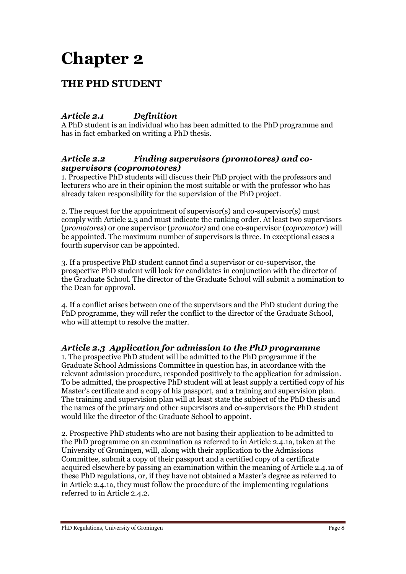# **THE PHD STUDENT**

# *Article 2.1 Definition*

A PhD student is an individual who has been admitted to the PhD programme and has in fact embarked on writing a PhD thesis.

### *Article 2.2 Finding supervisors (promotores) and cosupervisors (copromotores)*

1. Prospective PhD students will discuss their PhD project with the professors and lecturers who are in their opinion the most suitable or with the professor who has already taken responsibility for the supervision of the PhD project.

2. The request for the appointment of supervisor(s) and co-supervisor(s) must comply with Article 2.3 and must indicate the ranking order. At least two supervisors (*promotores*) or one supervisor (*promotor)* and one co-supervisor (*copromotor*) will be appointed. The maximum number of supervisors is three. In exceptional cases a fourth supervisor can be appointed.

3. If a prospective PhD student cannot find a supervisor or co-supervisor, the prospective PhD student will look for candidates in conjunction with the director of the Graduate School. The director of the Graduate School will submit a nomination to the Dean for approval.

4. If a conflict arises between one of the supervisors and the PhD student during the PhD programme, they will refer the conflict to the director of the Graduate School, who will attempt to resolve the matter.

# *Article 2.3 Application for admission to the PhD programme*

1. The prospective PhD student will be admitted to the PhD programme if the Graduate School Admissions Committee in question has, in accordance with the relevant admission procedure, responded positively to the application for admission. To be admitted, the prospective PhD student will at least supply a certified copy of his Master's certificate and a copy of his passport, and a training and supervision plan. The training and supervision plan will at least state the subject of the PhD thesis and the names of the primary and other supervisors and co-supervisors the PhD student would like the director of the Graduate School to appoint.

2. Prospective PhD students who are not basing their application to be admitted to the PhD programme on an examination as referred to in Article 2.4.1a, taken at the University of Groningen, will, along with their application to the Admissions Committee, submit a copy of their passport and a certified copy of a certificate acquired elsewhere by passing an examination within the meaning of Article 2.4.1a of these PhD regulations, or, if they have not obtained a Master's degree as referred to in Article 2.4.1a, they must follow the procedure of the implementing regulations referred to in Article 2.4.2.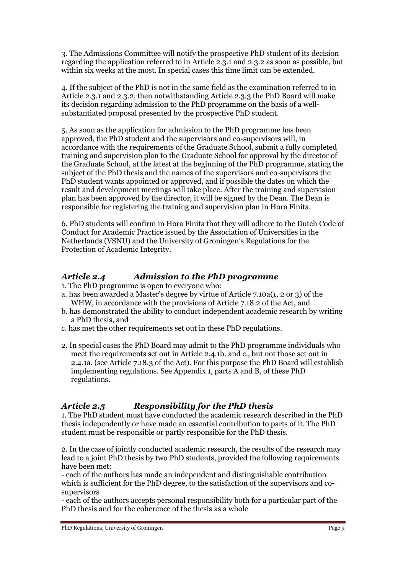3. The Admissions Committee will notify the prospective PhD student of its decision regarding the application referred to in Article 2.3.1 and 2.3.2 as soon as possible, but within six weeks at the most. In special cases this time limit can be extended.

4. If the subject of the PhD is not in the same field as the examination referred to in Article 2.3.1 and 2.3.2, then notwithstanding Article 2.3.3 the PhD Board will make its decision regarding admission to the PhD programme on the basis of a wellsubstantiated proposal presented by the prospective PhD student.

5. As soon as the application for admission to the PhD programme has been approved, the PhD student and the supervisors and co-supervisors will, in accordance with the requirements of the Graduate School, submit a fully completed training and supervision plan to the Graduate School for approval by the director of the Graduate School, at the latest at the beginning of the PhD programme, stating the subject of the PhD thesis and the names of the supervisors and co-supervisors the PhD student wants appointed or approved, and if possible the dates on which the result and development meetings will take place. After the training and supervision plan has been approved by the director, it will be signed by the Dean. The Dean is responsible for registering the training and supervision plan in Hora Finita.

6. PhD students will confirm in Hora Finita that they will adhere to the Dutch Code of Conduct for Academic Practice issued by the Association of Universities in the Netherlands (VSNU) and the University of Groningen's Regulations for the Protection of Academic Integrity.

# *Article 2.4 Admission to the PhD programme*

1. The PhD programme is open to everyone who:

- a. has been awarded a Master's degree by virtue of Article 7.10a(1, 2 or 3) of the WHW, in accordance with the provisions of Article 7.18.2 of the Act, and
- b. has demonstrated the ability to conduct independent academic research by writing a PhD thesis, and
- c. has met the other requirements set out in these PhD regulations.
- 2. In special cases the PhD Board may admit to the PhD programme individuals who meet the requirements set out in Article 2.4.1b. and c., but not those set out in 2.4.1a. (see Article 7.18.3 of the Act). For this purpose the PhD Board will establish implementing regulations. See Appendix 1, parts A and B, of these PhD regulations.

# *Article 2.5 Responsibility for the PhD thesis*

1. The PhD student must have conducted the academic research described in the PhD thesis independently or have made an essential contribution to parts of it. The PhD student must be responsible or partly responsible for the PhD thesis.

2. In the case of jointly conducted academic research, the results of the research may lead to a joint PhD thesis by two PhD students, provided the following requirements have been met:

- each of the authors has made an independent and distinguishable contribution which is sufficient for the PhD degree, to the satisfaction of the supervisors and cosupervisors

- each of the authors accepts personal responsibility both for a particular part of the PhD thesis and for the coherence of the thesis as a whole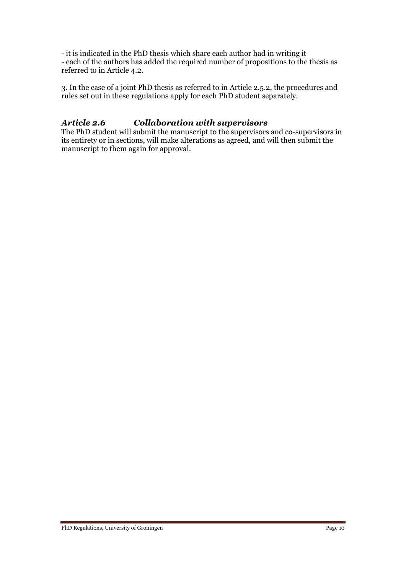- it is indicated in the PhD thesis which share each author had in writing it - each of the authors has added the required number of propositions to the thesis as referred to in Article 4.2.

3. In the case of a joint PhD thesis as referred to in Article 2.5.2, the procedures and rules set out in these regulations apply for each PhD student separately.

### *Article 2.6 Collaboration with supervisors*

The PhD student will submit the manuscript to the supervisors and co-supervisors in its entirety or in sections, will make alterations as agreed, and will then submit the manuscript to them again for approval.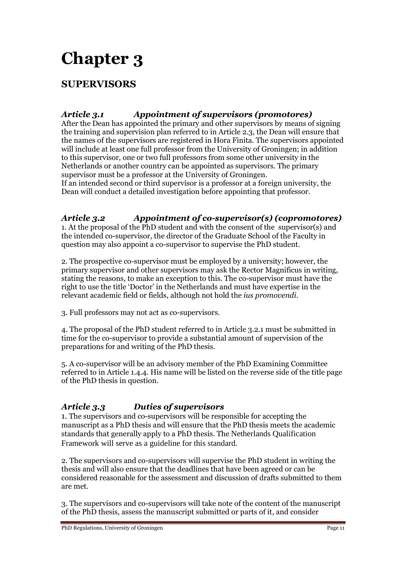# **SUPERVISORS**

# *Article 3.1 Appointment of supervisors (promotores)*

After the Dean has appointed the primary and other supervisors by means of signing the training and supervision plan referred to in Article 2.3, the Dean will ensure that the names of the supervisors are registered in Hora Finita. The supervisors appointed will include at least one full professor from the University of Groningen; in addition to this supervisor, one or two full professors from some other university in the Netherlands or another country can be appointed as supervisors. The primary supervisor must be a professor at the University of Groningen.

If an intended second or third supervisor is a professor at a foreign university, the Dean will conduct a detailed investigation before appointing that professor.

### *Article 3.2 Appointment of co-supervisor(s) (copromotores)*

1. At the proposal of the PhD student and with the consent of the supervisor(s) and the intended co-supervisor, the director of the Graduate School of the Faculty in question may also appoint a co-supervisor to supervise the PhD student.

2. The prospective co-supervisor must be employed by a university; however, the primary supervisor and other supervisors may ask the Rector Magnificus in writing, stating the reasons, to make an exception to this. The co-supervisor must have the right to use the title 'Doctor' in the Netherlands and must have expertise in the relevant academic field or fields, although not hold the *ius promovendi*.

3. Full professors may not act as co-supervisors.

4. The proposal of the PhD student referred to in Article 3.2.1 must be submitted in time for the co-supervisor to provide a substantial amount of supervision of the preparations for and writing of the PhD thesis.

5. A co-supervisor will be an advisory member of the PhD Examining Committee referred to in Article 1.4.4. His name will be listed on the reverse side of the title page of the PhD thesis in question.

# *Article 3.3 Duties of supervisors*

1. The supervisors and co-supervisors will be responsible for accepting the manuscript as a PhD thesis and will ensure that the PhD thesis meets the academic standards that generally apply to a PhD thesis. The Netherlands Qualification Framework will serve as a guideline for this standard.

2. The supervisors and co-supervisors will supervise the PhD student in writing the thesis and will also ensure that the deadlines that have been agreed or can be considered reasonable for the assessment and discussion of drafts submitted to them are met.

3. The supervisors and co-supervisors will take note of the content of the manuscript of the PhD thesis, assess the manuscript submitted or parts of it, and consider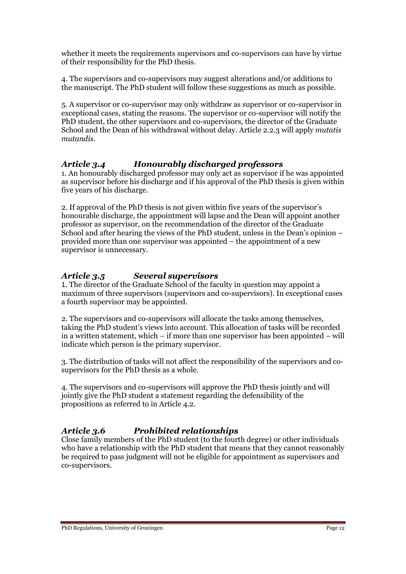whether it meets the requirements supervisors and co-supervisors can have by virtue of their responsibility for the PhD thesis.

4. The supervisors and co-supervisors may suggest alterations and/or additions to the manuscript. The PhD student will follow these suggestions as much as possible.

5. A supervisor or co-supervisor may only withdraw as supervisor or co-supervisor in exceptional cases, stating the reasons. The supervisor or co-supervisor will notify the PhD student, the other supervisors and co-supervisors, the director of the Graduate School and the Dean of his withdrawal without delay. Article 2.2.3 will apply *mutatis mutandis*.

### *Article 3.4 Honourably discharged professors*

1. An honourably discharged professor may only act as supervisor if he was appointed as supervisor before his discharge and if his approval of the PhD thesis is given within five years of his discharge.

2. If approval of the PhD thesis is not given within five years of the supervisor's honourable discharge, the appointment will lapse and the Dean will appoint another professor as supervisor, on the recommendation of the director of the Graduate School and after hearing the views of the PhD student, unless in the Dean's opinion – provided more than one supervisor was appointed – the appointment of a new supervisor is unnecessary.

# *Article 3.5 Several supervisors*

1. The director of the Graduate School of the faculty in question may appoint a maximum of three supervisors (supervisors and co-supervisors). In exceptional cases a fourth supervisor may be appointed.

2. The supervisors and co-supervisors will allocate the tasks among themselves, taking the PhD student's views into account. This allocation of tasks will be recorded in a written statement, which – if more than one supervisor has been appointed – will indicate which person is the primary supervisor.

3. The distribution of tasks will not affect the responsibility of the supervisors and cosupervisors for the PhD thesis as a whole.

4. The supervisors and co-supervisors will approve the PhD thesis jointly and will jointly give the PhD student a statement regarding the defensibility of the propositions as referred to in Article 4.2.

# *Article 3.6 Prohibited relationships*

Close family members of the PhD student (to the fourth degree) or other individuals who have a relationship with the PhD student that means that they cannot reasonably be required to pass judgment will not be eligible for appointment as supervisors and co-supervisors.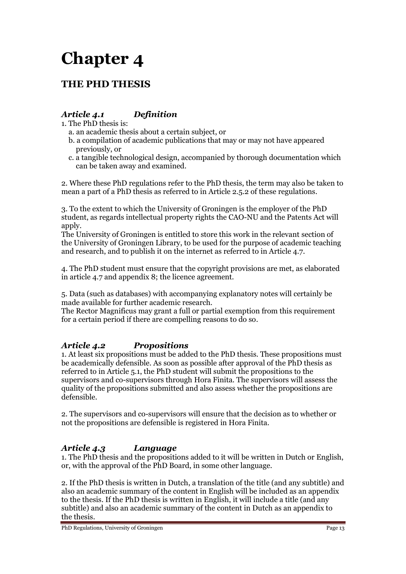# **THE PHD THESIS**

# *Article 4.1 Definition*

- 1. The PhD thesis is:
	- a. an academic thesis about a certain subject, or
	- b. a compilation of academic publications that may or may not have appeared previously, or
	- c. a tangible technological design, accompanied by thorough documentation which can be taken away and examined.

2. Where these PhD regulations refer to the PhD thesis, the term may also be taken to mean a part of a PhD thesis as referred to in Article 2.5.2 of these regulations.

3. To the extent to which the University of Groningen is the employer of the PhD student, as regards intellectual property rights the CAO-NU and the Patents Act will apply.

The University of Groningen is entitled to store this work in the relevant section of the University of Groningen Library, to be used for the purpose of academic teaching and research, and to publish it on the internet as referred to in Article 4.7.

4. The PhD student must ensure that the copyright provisions are met, as elaborated in article 4.7 and appendix 8; the licence agreement.

5. Data (such as databases) with accompanying explanatory notes will certainly be made available for further academic research.

The Rector Magnificus may grant a full or partial exemption from this requirement for a certain period if there are compelling reasons to do so.

# *Article 4.2 Propositions*

1. At least six propositions must be added to the PhD thesis. These propositions must be academically defensible. As soon as possible after approval of the PhD thesis as referred to in Article 5.1, the PhD student will submit the propositions to the supervisors and co-supervisors through Hora Finita. The supervisors will assess the quality of the propositions submitted and also assess whether the propositions are defensible.

2. The supervisors and co-supervisors will ensure that the decision as to whether or not the propositions are defensible is registered in Hora Finita.

# *Article 4.3 Language*

1. The PhD thesis and the propositions added to it will be written in Dutch or English, or, with the approval of the PhD Board, in some other language.

2. If the PhD thesis is written in Dutch, a translation of the title (and any subtitle) and also an academic summary of the content in English will be included as an appendix to the thesis. If the PhD thesis is written in English, it will include a title (and any subtitle) and also an academic summary of the content in Dutch as an appendix to the thesis.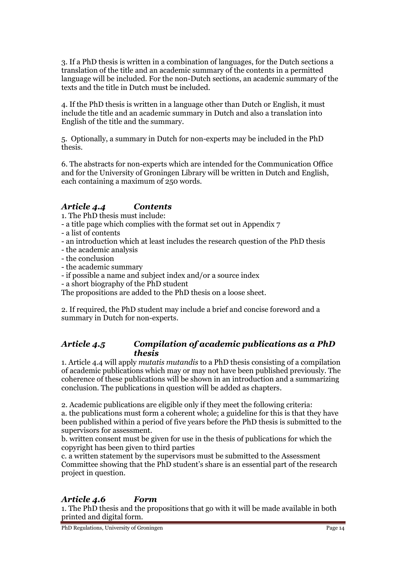3. If a PhD thesis is written in a combination of languages, for the Dutch sections a translation of the title and an academic summary of the contents in a permitted language will be included. For the non-Dutch sections, an academic summary of the texts and the title in Dutch must be included.

4. If the PhD thesis is written in a language other than Dutch or English, it must include the title and an academic summary in Dutch and also a translation into English of the title and the summary.

5. Optionally, a summary in Dutch for non-experts may be included in the PhD thesis.

6. The abstracts for non-experts which are intended for the Communication Office and for the University of Groningen Library will be written in Dutch and English, each containing a maximum of 250 words.

### *Article 4.4 Contents*

1. The PhD thesis must include:

- a title page which complies with the format set out in Appendix 7
- a list of contents
- an introduction which at least includes the research question of the PhD thesis
- the academic analysis
- the conclusion
- the academic summary
- if possible a name and subject index and/or a source index
- a short biography of the PhD student

The propositions are added to the PhD thesis on a loose sheet.

2. If required, the PhD student may include a brief and concise foreword and a summary in Dutch for non-experts.

### *Article 4.5 Compilation of academic publications as a PhD thesis*

1. Article 4.4 will apply *mutatis mutandis* to a PhD thesis consisting of a compilation of academic publications which may or may not have been published previously. The coherence of these publications will be shown in an introduction and a summarizing conclusion. The publications in question will be added as chapters.

2. Academic publications are eligible only if they meet the following criteria: a. the publications must form a coherent whole; a guideline for this is that they have been published within a period of five years before the PhD thesis is submitted to the supervisors for assessment.

b. written consent must be given for use in the thesis of publications for which the copyright has been given to third parties

c. a written statement by the supervisors must be submitted to the Assessment Committee showing that the PhD student's share is an essential part of the research project in question.

# *Article 4.6 Form*

1. The PhD thesis and the propositions that go with it will be made available in both printed and digital form.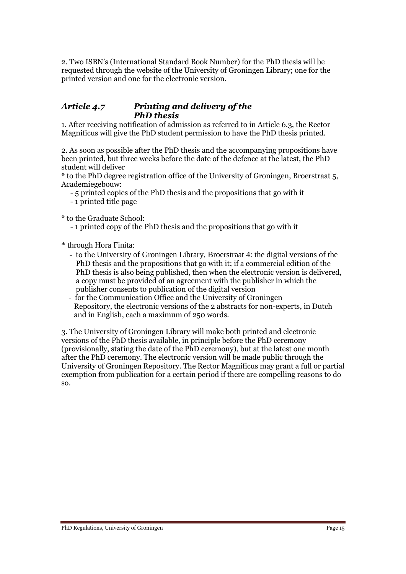2. Two ISBN's (International Standard Book Number) for the PhD thesis will be requested through the website of the University of Groningen Library; one for the printed version and one for the electronic version.

#### *Article 4.7 Printing and delivery of the PhD thesis*

1. After receiving notification of admission as referred to in Article 6.3, the Rector Magnificus will give the PhD student permission to have the PhD thesis printed.

2. As soon as possible after the PhD thesis and the accompanying propositions have been printed, but three weeks before the date of the defence at the latest, the PhD student will deliver

\* to the PhD degree registration office of the University of Groningen, Broerstraat 5, Academiegebouw:

- 5 printed copies of the PhD thesis and the propositions that go with it
- 1 printed title page

\* to the Graduate School:

- 1 printed copy of the PhD thesis and the propositions that go with it

\* through Hora Finita:

- to the University of Groningen Library, Broerstraat 4: the digital versions of the PhD thesis and the propositions that go with it; if a commercial edition of the PhD thesis is also being published, then when the electronic version is delivered, a copy must be provided of an agreement with the publisher in which the publisher consents to publication of the digital version
- for the Communication Office and the University of Groningen Repository, the electronic versions of the 2 abstracts for non-experts, in Dutch and in English, each a maximum of 250 words.

3. The University of Groningen Library will make both printed and electronic versions of the PhD thesis available, in principle before the PhD ceremony (provisionally, stating the date of the PhD ceremony), but at the latest one month after the PhD ceremony. The electronic version will be made public through the University of Groningen Repository. The Rector Magnificus may grant a full or partial exemption from publication for a certain period if there are compelling reasons to do so.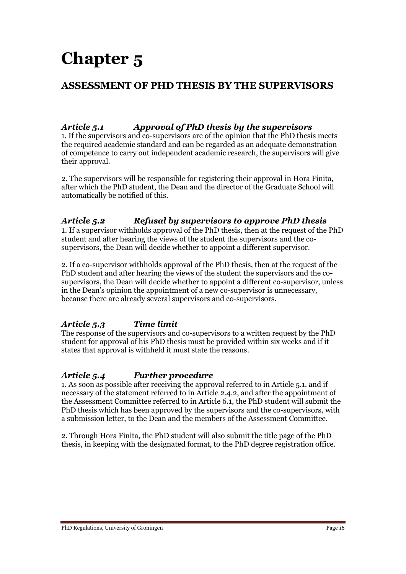# **ASSESSMENT OF PHD THESIS BY THE SUPERVISORS**

# *Article 5.1 Approval of PhD thesis by the supervisors*

1. If the supervisors and co-supervisors are of the opinion that the PhD thesis meets the required academic standard and can be regarded as an adequate demonstration of competence to carry out independent academic research, the supervisors will give their approval.

2. The supervisors will be responsible for registering their approval in Hora Finita, after which the PhD student, the Dean and the director of the Graduate School will automatically be notified of this.

# *Article 5.2 Refusal by supervisors to approve PhD thesis*

1. If a supervisor withholds approval of the PhD thesis, then at the request of the PhD student and after hearing the views of the student the supervisors and the cosupervisors, the Dean will decide whether to appoint a different supervisor.

2. If a co-supervisor withholds approval of the PhD thesis, then at the request of the PhD student and after hearing the views of the student the supervisors and the cosupervisors, the Dean will decide whether to appoint a different co-supervisor, unless in the Dean's opinion the appointment of a new co-supervisor is unnecessary, because there are already several supervisors and co-supervisors.

# *Article 5.3 Time limit*

The response of the supervisors and co-supervisors to a written request by the PhD student for approval of his PhD thesis must be provided within six weeks and if it states that approval is withheld it must state the reasons.

# *Article 5.4 Further procedure*

1. As soon as possible after receiving the approval referred to in Article 5.1. and if necessary of the statement referred to in Article 2.4.2, and after the appointment of the Assessment Committee referred to in Article 6.1, the PhD student will submit the PhD thesis which has been approved by the supervisors and the co-supervisors, with a submission letter, to the Dean and the members of the Assessment Committee.

2. Through Hora Finita, the PhD student will also submit the title page of the PhD thesis, in keeping with the designated format, to the PhD degree registration office.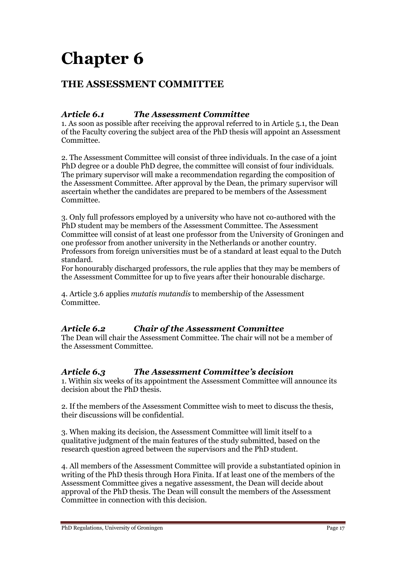# **THE ASSESSMENT COMMITTEE**

## *Article 6.1 The Assessment Committee*

1. As soon as possible after receiving the approval referred to in Article 5.1, the Dean of the Faculty covering the subject area of the PhD thesis will appoint an Assessment Committee.

2. The Assessment Committee will consist of three individuals. In the case of a joint PhD degree or a double PhD degree, the committee will consist of four individuals. The primary supervisor will make a recommendation regarding the composition of the Assessment Committee. After approval by the Dean, the primary supervisor will ascertain whether the candidates are prepared to be members of the Assessment Committee.

3. Only full professors employed by a university who have not co-authored with the PhD student may be members of the Assessment Committee. The Assessment Committee will consist of at least one professor from the University of Groningen and one professor from another university in the Netherlands or another country. Professors from foreign universities must be of a standard at least equal to the Dutch standard.

For honourably discharged professors, the rule applies that they may be members of the Assessment Committee for up to five years after their honourable discharge.

4. Article 3.6 applies *mutatis mutandis* to membership of the Assessment Committee.

# *Article 6.2 Chair of the Assessment Committee*

The Dean will chair the Assessment Committee. The chair will not be a member of the Assessment Committee.

### *Article 6.3 The Assessment Committee's decision*

1. Within six weeks of its appointment the Assessment Committee will announce its decision about the PhD thesis.

2. If the members of the Assessment Committee wish to meet to discuss the thesis, their discussions will be confidential.

3. When making its decision, the Assessment Committee will limit itself to a qualitative judgment of the main features of the study submitted, based on the research question agreed between the supervisors and the PhD student.

4. All members of the Assessment Committee will provide a substantiated opinion in writing of the PhD thesis through Hora Finita. If at least one of the members of the Assessment Committee gives a negative assessment, the Dean will decide about approval of the PhD thesis. The Dean will consult the members of the Assessment Committee in connection with this decision.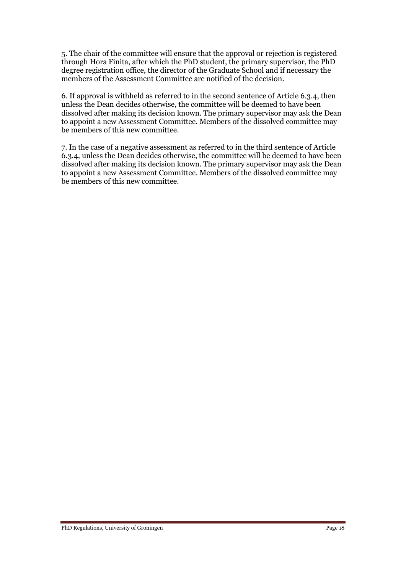5. The chair of the committee will ensure that the approval or rejection is registered through Hora Finita, after which the PhD student, the primary supervisor, the PhD degree registration office, the director of the Graduate School and if necessary the members of the Assessment Committee are notified of the decision.

6. If approval is withheld as referred to in the second sentence of Article 6.3.4, then unless the Dean decides otherwise, the committee will be deemed to have been dissolved after making its decision known. The primary supervisor may ask the Dean to appoint a new Assessment Committee. Members of the dissolved committee may be members of this new committee.

7. In the case of a negative assessment as referred to in the third sentence of Article 6.3.4, unless the Dean decides otherwise, the committee will be deemed to have been dissolved after making its decision known. The primary supervisor may ask the Dean to appoint a new Assessment Committee. Members of the dissolved committee may be members of this new committee.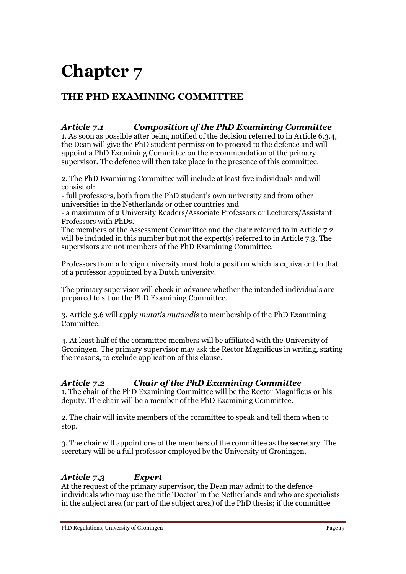# **THE PHD EXAMINING COMMITTEE**

# *Article 7.1 Composition of the PhD Examining Committee*

1. As soon as possible after being notified of the decision referred to in Article 6.3.4, the Dean will give the PhD student permission to proceed to the defence and will appoint a PhD Examining Committee on the recommendation of the primary supervisor. The defence will then take place in the presence of this committee.

2. The PhD Examining Committee will include at least five individuals and will consist of:

- full professors, both from the PhD student's own university and from other universities in the Netherlands or other countries and

- a maximum of 2 University Readers/Associate Professors or Lecturers/Assistant Professors with PhDs.

The members of the Assessment Committee and the chair referred to in Article 7.2 will be included in this number but not the expert(s) referred to in Article 7.3. The supervisors are not members of the PhD Examining Committee.

Professors from a foreign university must hold a position which is equivalent to that of a professor appointed by a Dutch university.

The primary supervisor will check in advance whether the intended individuals are prepared to sit on the PhD Examining Committee.

3. Article 3.6 will apply *mutatis mutandis* to membership of the PhD Examining Committee.

4. At least half of the committee members will be affiliated with the University of Groningen. The primary supervisor may ask the Rector Magnificus in writing, stating the reasons, to exclude application of this clause.

# *Article 7.2 Chair of the PhD Examining Committee*

1. The chair of the PhD Examining Committee will be the Rector Magnificus or his deputy. The chair will be a member of the PhD Examining Committee.

2. The chair will invite members of the committee to speak and tell them when to stop.

3. The chair will appoint one of the members of the committee as the secretary. The secretary will be a full professor employed by the University of Groningen.

# *Article 7.3 Expert*

At the request of the primary supervisor, the Dean may admit to the defence individuals who may use the title 'Doctor' in the Netherlands and who are specialists in the subject area (or part of the subject area) of the PhD thesis; if the committee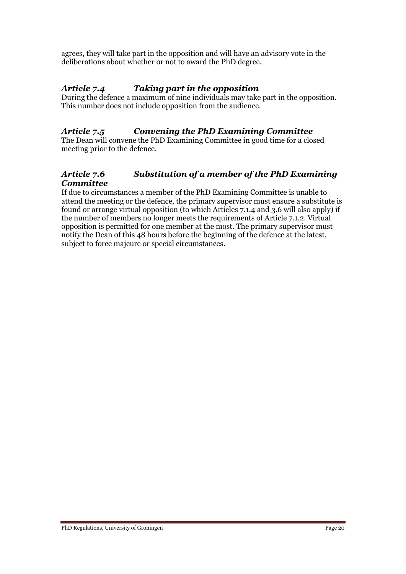agrees, they will take part in the opposition and will have an advisory vote in the deliberations about whether or not to award the PhD degree.

# *Article 7.4 Taking part in the opposition*

During the defence a maximum of nine individuals may take part in the opposition. This number does not include opposition from the audience.

# *Article 7.5 Convening the PhD Examining Committee*

The Dean will convene the PhD Examining Committee in good time for a closed meeting prior to the defence.

# *Article 7.6 Substitution of a member of the PhD Examining Committee*

If due to circumstances a member of the PhD Examining Committee is unable to attend the meeting or the defence, the primary supervisor must ensure a substitute is found or arrange virtual opposition (to which Articles 7.1.4 and 3.6 will also apply) if the number of members no longer meets the requirements of Article 7.1.2. Virtual opposition is permitted for one member at the most. The primary supervisor must notify the Dean of this 48 hours before the beginning of the defence at the latest, subject to force majeure or special circumstances.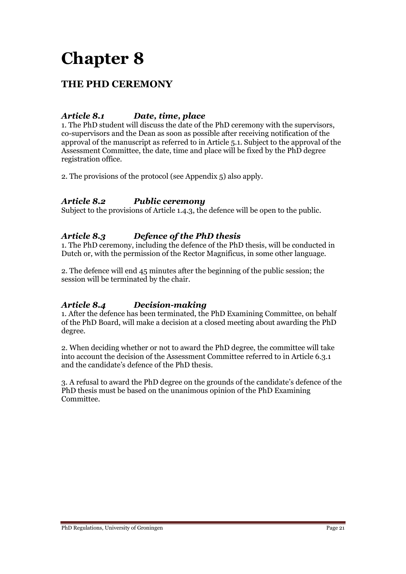# **THE PHD CEREMONY**

## *Article 8.1 Date, time, place*

1. The PhD student will discuss the date of the PhD ceremony with the supervisors, co-supervisors and the Dean as soon as possible after receiving notification of the approval of the manuscript as referred to in Article 5.1. Subject to the approval of the Assessment Committee, the date, time and place will be fixed by the PhD degree registration office.

2. The provisions of the protocol (see Appendix 5) also apply.

### *Article 8.2 Public ceremony*

Subject to the provisions of Article 1.4.3, the defence will be open to the public.

### *Article 8.3 Defence of the PhD thesis*

1. The PhD ceremony, including the defence of the PhD thesis, will be conducted in Dutch or, with the permission of the Rector Magnificus, in some other language.

2. The defence will end 45 minutes after the beginning of the public session; the session will be terminated by the chair.

### *Article 8.4 Decision-making*

1. After the defence has been terminated, the PhD Examining Committee, on behalf of the PhD Board, will make a decision at a closed meeting about awarding the PhD degree.

2. When deciding whether or not to award the PhD degree, the committee will take into account the decision of the Assessment Committee referred to in Article 6.3.1 and the candidate's defence of the PhD thesis.

3. A refusal to award the PhD degree on the grounds of the candidate's defence of the PhD thesis must be based on the unanimous opinion of the PhD Examining Committee.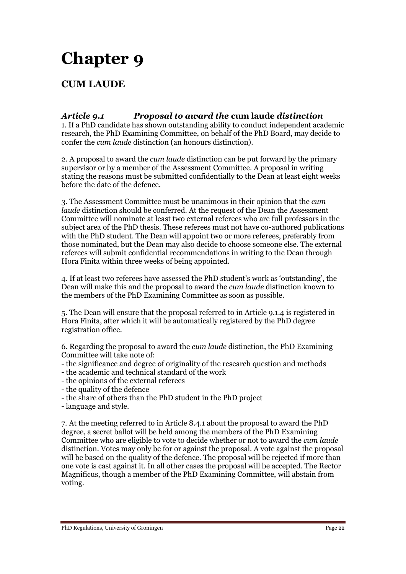# **CUM LAUDE**

#### *Article 9.1 Proposal to award the* **cum laude** *distinction* 1. If a PhD candidate has shown outstanding ability to conduct independent academic research, the PhD Examining Committee, on behalf of the PhD Board, may decide to confer the *cum laude* distinction (an honours distinction).

2. A proposal to award the *cum laude* distinction can be put forward by the primary supervisor or by a member of the Assessment Committee. A proposal in writing stating the reasons must be submitted confidentially to the Dean at least eight weeks before the date of the defence.

3. The Assessment Committee must be unanimous in their opinion that the *cum laude* distinction should be conferred. At the request of the Dean the Assessment Committee will nominate at least two external referees who are full professors in the subject area of the PhD thesis. These referees must not have co-authored publications with the PhD student. The Dean will appoint two or more referees, preferably from those nominated, but the Dean may also decide to choose someone else. The external referees will submit confidential recommendations in writing to the Dean through Hora Finita within three weeks of being appointed.

4. If at least two referees have assessed the PhD student's work as 'outstanding', the Dean will make this and the proposal to award the *cum laude* distinction known to the members of the PhD Examining Committee as soon as possible.

5. The Dean will ensure that the proposal referred to in Article 9.1.4 is registered in Hora Finita, after which it will be automatically registered by the PhD degree registration office.

6. Regarding the proposal to award the *cum laude* distinction, the PhD Examining Committee will take note of:

- the significance and degree of originality of the research question and methods
- the academic and technical standard of the work
- the opinions of the external referees
- the quality of the defence
- the share of others than the PhD student in the PhD project
- language and style.

7. At the meeting referred to in Article 8.4.1 about the proposal to award the PhD degree, a secret ballot will be held among the members of the PhD Examining Committee who are eligible to vote to decide whether or not to award the *cum laude* distinction. Votes may only be for or against the proposal. A vote against the proposal will be based on the quality of the defence. The proposal will be rejected if more than one vote is cast against it. In all other cases the proposal will be accepted. The Rector Magnificus, though a member of the PhD Examining Committee, will abstain from voting.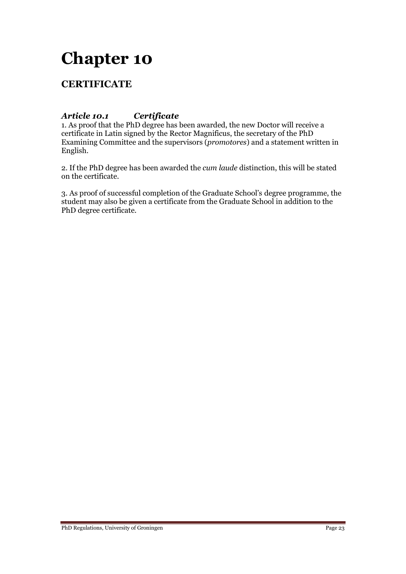# **CERTIFICATE**

## *Article 10.1 Certificate*

1. As proof that the PhD degree has been awarded, the new Doctor will receive a certificate in Latin signed by the Rector Magnificus, the secretary of the PhD Examining Committee and the supervisors (*promotores*) and a statement written in English.

2. If the PhD degree has been awarded the *cum laude* distinction, this will be stated on the certificate.

3. As proof of successful completion of the Graduate School's degree programme, the student may also be given a certificate from the Graduate School in addition to the PhD degree certificate.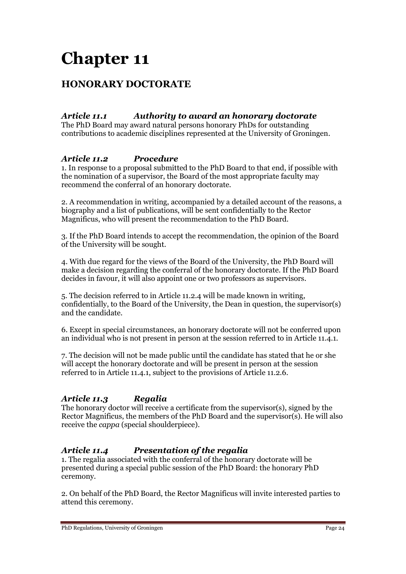# **HONORARY DOCTORATE**

# *Article 11.1 Authority to award an honorary doctorate*

The PhD Board may award natural persons honorary PhDs for outstanding contributions to academic disciplines represented at the University of Groningen.

### *Article 11.2 Procedure*

1. In response to a proposal submitted to the PhD Board to that end, if possible with the nomination of a supervisor, the Board of the most appropriate faculty may recommend the conferral of an honorary doctorate.

2. A recommendation in writing, accompanied by a detailed account of the reasons, a biography and a list of publications, will be sent confidentially to the Rector Magnificus, who will present the recommendation to the PhD Board.

3. If the PhD Board intends to accept the recommendation, the opinion of the Board of the University will be sought.

4. With due regard for the views of the Board of the University, the PhD Board will make a decision regarding the conferral of the honorary doctorate. If the PhD Board decides in favour, it will also appoint one or two professors as supervisors.

5. The decision referred to in Article 11.2.4 will be made known in writing, confidentially, to the Board of the University, the Dean in question, the supervisor(s) and the candidate.

6. Except in special circumstances, an honorary doctorate will not be conferred upon an individual who is not present in person at the session referred to in Article 11.4.1.

7. The decision will not be made public until the candidate has stated that he or she will accept the honorary doctorate and will be present in person at the session referred to in Article 11.4.1, subject to the provisions of Article 11.2.6.

# *Article 11.3 Regalia*

The honorary doctor will receive a certificate from the supervisor(s), signed by the Rector Magnificus, the members of the PhD Board and the supervisor(s). He will also receive the *cappa* (special shoulderpiece).

# *Article 11.4 Presentation of the regalia*

1. The regalia associated with the conferral of the honorary doctorate will be presented during a special public session of the PhD Board: the honorary PhD ceremony.

2. On behalf of the PhD Board, the Rector Magnificus will invite interested parties to attend this ceremony.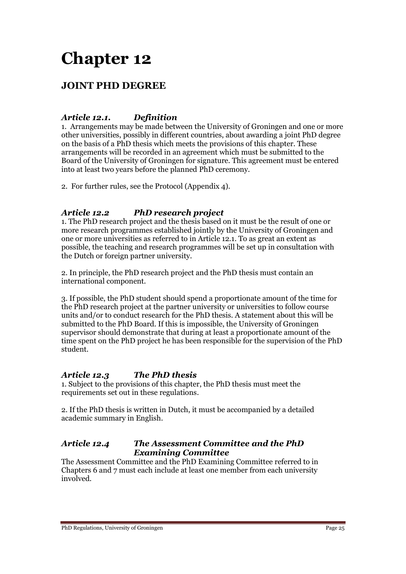# **JOINT PHD DEGREE**

# *Article 12.1. Definition*

1. Arrangements may be made between the University of Groningen and one or more other universities, possibly in different countries, about awarding a joint PhD degree on the basis of a PhD thesis which meets the provisions of this chapter. These arrangements will be recorded in an agreement which must be submitted to the Board of the University of Groningen for signature. This agreement must be entered into at least two years before the planned PhD ceremony.

2. For further rules, see the Protocol (Appendix 4).

# *Article 12.2 PhD research project*

1. The PhD research project and the thesis based on it must be the result of one or more research programmes established jointly by the University of Groningen and one or more universities as referred to in Article 12.1. To as great an extent as possible, the teaching and research programmes will be set up in consultation with the Dutch or foreign partner university.

2. In principle, the PhD research project and the PhD thesis must contain an international component.

3. If possible, the PhD student should spend a proportionate amount of the time for the PhD research project at the partner university or universities to follow course units and/or to conduct research for the PhD thesis. A statement about this will be submitted to the PhD Board. If this is impossible, the University of Groningen supervisor should demonstrate that during at least a proportionate amount of the time spent on the PhD project he has been responsible for the supervision of the PhD student.

# *Article 12.3 The PhD thesis*

1. Subject to the provisions of this chapter, the PhD thesis must meet the requirements set out in these regulations.

2. If the PhD thesis is written in Dutch, it must be accompanied by a detailed academic summary in English.

### *Article 12.4 The Assessment Committee and the PhD Examining Committee*

The Assessment Committee and the PhD Examining Committee referred to in Chapters 6 and 7 must each include at least one member from each university involved.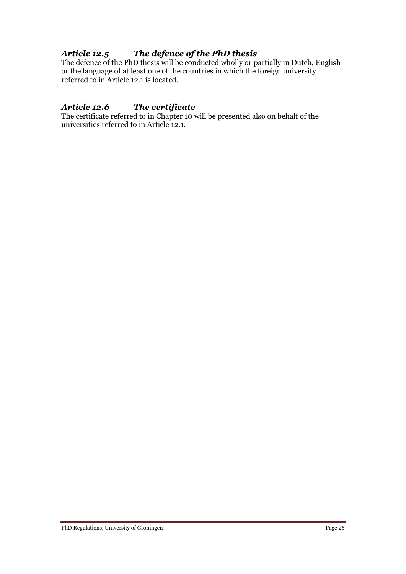# *Article 12.5 The defence of the PhD thesis*

The defence of the PhD thesis will be conducted wholly or partially in Dutch, English or the language of at least one of the countries in which the foreign university referred to in Article 12.1 is located.

## *Article 12.6 The certificate*

The certificate referred to in Chapter 10 will be presented also on behalf of the universities referred to in Article 12.1.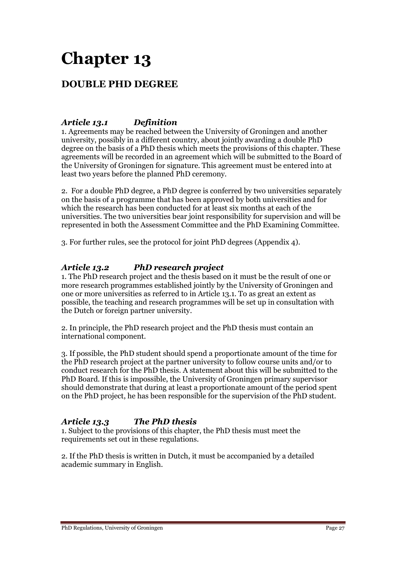# **DOUBLE PHD DEGREE**

## *Article 13.1 Definition*

1. Agreements may be reached between the University of Groningen and another university, possibly in a different country, about jointly awarding a double PhD degree on the basis of a PhD thesis which meets the provisions of this chapter. These agreements will be recorded in an agreement which will be submitted to the Board of the University of Groningen for signature. This agreement must be entered into at least two years before the planned PhD ceremony.

2. For a double PhD degree, a PhD degree is conferred by two universities separately on the basis of a programme that has been approved by both universities and for which the research has been conducted for at least six months at each of the universities. The two universities bear joint responsibility for supervision and will be represented in both the Assessment Committee and the PhD Examining Committee.

3. For further rules, see the protocol for joint PhD degrees (Appendix 4).

### *Article 13.2 PhD research project*

1. The PhD research project and the thesis based on it must be the result of one or more research programmes established jointly by the University of Groningen and one or more universities as referred to in Article 13.1. To as great an extent as possible, the teaching and research programmes will be set up in consultation with the Dutch or foreign partner university.

2. In principle, the PhD research project and the PhD thesis must contain an international component.

3. If possible, the PhD student should spend a proportionate amount of the time for the PhD research project at the partner university to follow course units and/or to conduct research for the PhD thesis. A statement about this will be submitted to the PhD Board. If this is impossible, the University of Groningen primary supervisor should demonstrate that during at least a proportionate amount of the period spent on the PhD project, he has been responsible for the supervision of the PhD student.

# *Article 13.3 The PhD thesis*

1. Subject to the provisions of this chapter, the PhD thesis must meet the requirements set out in these regulations.

2. If the PhD thesis is written in Dutch, it must be accompanied by a detailed academic summary in English.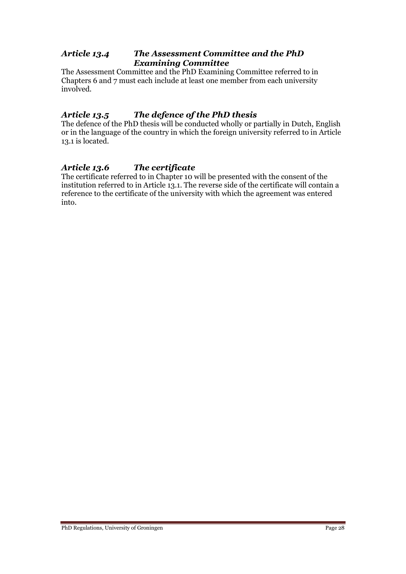### *Article 13.4 The Assessment Committee and the PhD Examining Committee*

The Assessment Committee and the PhD Examining Committee referred to in Chapters 6 and 7 must each include at least one member from each university involved.

# *Article 13.5 The defence of the PhD thesis*

The defence of the PhD thesis will be conducted wholly or partially in Dutch, English or in the language of the country in which the foreign university referred to in Article 13.1 is located.

# *Article 13.6 The certificate*

The certificate referred to in Chapter 10 will be presented with the consent of the institution referred to in Article 13.1. The reverse side of the certificate will contain a reference to the certificate of the university with which the agreement was entered into.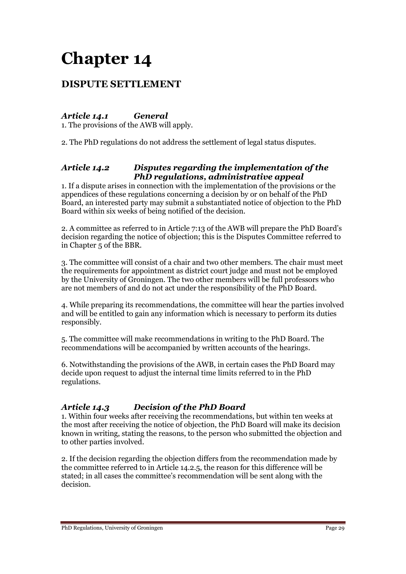# **DISPUTE SETTLEMENT**

# *Article 14.1 General*

1. The provisions of the AWB will apply.

2. The PhD regulations do not address the settlement of legal status disputes.

### *Article 14.2 Disputes regarding the implementation of the PhD regulations, administrative appeal*

1. If a dispute arises in connection with the implementation of the provisions or the appendices of these regulations concerning a decision by or on behalf of the PhD Board, an interested party may submit a substantiated notice of objection to the PhD Board within six weeks of being notified of the decision.

2. A committee as referred to in Article 7:13 of the AWB will prepare the PhD Board's decision regarding the notice of objection; this is the Disputes Committee referred to in Chapter 5 of the BBR.

3. The committee will consist of a chair and two other members. The chair must meet the requirements for appointment as district court judge and must not be employed by the University of Groningen. The two other members will be full professors who are not members of and do not act under the responsibility of the PhD Board.

4. While preparing its recommendations, the committee will hear the parties involved and will be entitled to gain any information which is necessary to perform its duties responsibly.

5. The committee will make recommendations in writing to the PhD Board. The recommendations will be accompanied by written accounts of the hearings.

6. Notwithstanding the provisions of the AWB, in certain cases the PhD Board may decide upon request to adjust the internal time limits referred to in the PhD regulations.

# *Article 14.3 Decision of the PhD Board*

1. Within four weeks after receiving the recommendations, but within ten weeks at the most after receiving the notice of objection, the PhD Board will make its decision known in writing, stating the reasons, to the person who submitted the objection and to other parties involved.

2. If the decision regarding the objection differs from the recommendation made by the committee referred to in Article 14.2.5, the reason for this difference will be stated; in all cases the committee's recommendation will be sent along with the decision.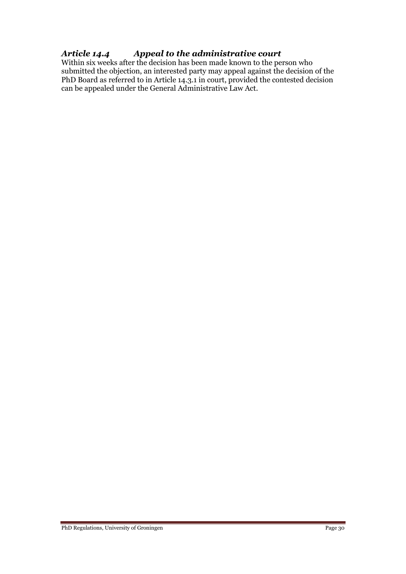# *Article 14.4 Appeal to the administrative court*

Within six weeks after the decision has been made known to the person who submitted the objection, an interested party may appeal against the decision of the PhD Board as referred to in Article 14.3.1 in court, provided the contested decision can be appealed under the General Administrative Law Act.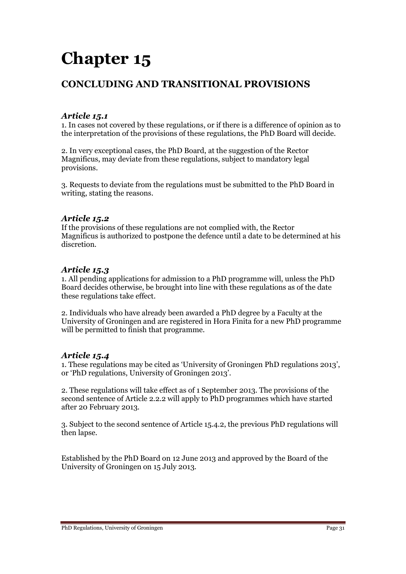# **CONCLUDING AND TRANSITIONAL PROVISIONS**

## *Article 15.1*

1. In cases not covered by these regulations, or if there is a difference of opinion as to the interpretation of the provisions of these regulations, the PhD Board will decide.

2. In very exceptional cases, the PhD Board, at the suggestion of the Rector Magnificus, may deviate from these regulations, subject to mandatory legal provisions.

3. Requests to deviate from the regulations must be submitted to the PhD Board in writing, stating the reasons.

#### *Article 15.2*

If the provisions of these regulations are not complied with, the Rector Magnificus is authorized to postpone the defence until a date to be determined at his discretion.

### *Article 15.3*

1. All pending applications for admission to a PhD programme will, unless the PhD Board decides otherwise, be brought into line with these regulations as of the date these regulations take effect.

2. Individuals who have already been awarded a PhD degree by a Faculty at the University of Groningen and are registered in Hora Finita for a new PhD programme will be permitted to finish that programme.

### *Article 15.4*

1. These regulations may be cited as 'University of Groningen PhD regulations 2013', or 'PhD regulations, University of Groningen 2013'.

2. These regulations will take effect as of 1 September 2013. The provisions of the second sentence of Article 2.2.2 will apply to PhD programmes which have started after 20 February 2013.

3. Subject to the second sentence of Article 15.4.2, the previous PhD regulations will then lapse.

Established by the PhD Board on 12 June 2013 and approved by the Board of the University of Groningen on 15 July 2013.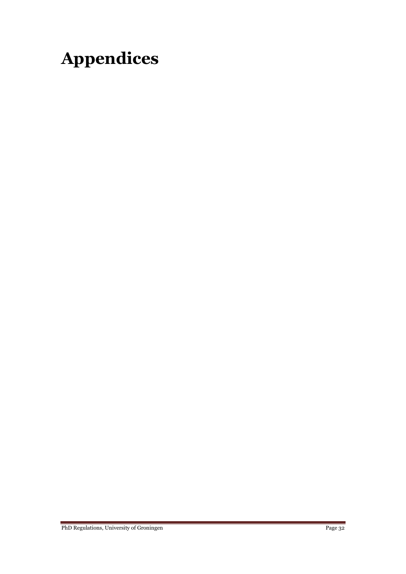# **Appendices**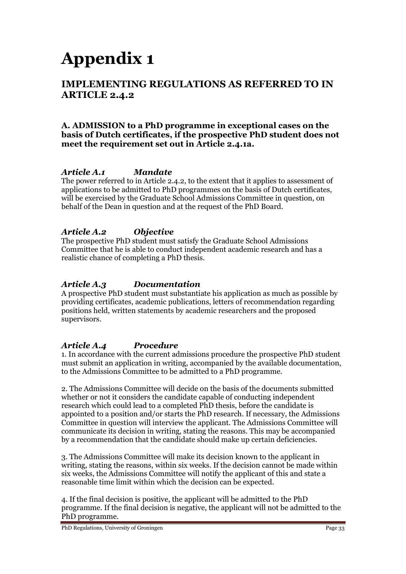# **Appendix 1**

# **IMPLEMENTING REGULATIONS AS REFERRED TO IN ARTICLE 2.4.2**

### **A. ADMISSION to a PhD programme in exceptional cases on the basis of Dutch certificates, if the prospective PhD student does not meet the requirement set out in Article 2.4.1a.**

# *Article A.1 Mandate*

The power referred to in Article 2.4.2, to the extent that it applies to assessment of applications to be admitted to PhD programmes on the basis of Dutch certificates, will be exercised by the Graduate School Admissions Committee in question, on behalf of the Dean in question and at the request of the PhD Board.

### *Article A.2 Objective*

The prospective PhD student must satisfy the Graduate School Admissions Committee that he is able to conduct independent academic research and has a realistic chance of completing a PhD thesis.

## *Article A.3 Documentation*

A prospective PhD student must substantiate his application as much as possible by providing certificates, academic publications, letters of recommendation regarding positions held, written statements by academic researchers and the proposed supervisors.

### *Article A.4 Procedure*

1. In accordance with the current admissions procedure the prospective PhD student must submit an application in writing, accompanied by the available documentation, to the Admissions Committee to be admitted to a PhD programme.

2. The Admissions Committee will decide on the basis of the documents submitted whether or not it considers the candidate capable of conducting independent research which could lead to a completed PhD thesis, before the candidate is appointed to a position and/or starts the PhD research. If necessary, the Admissions Committee in question will interview the applicant. The Admissions Committee will communicate its decision in writing, stating the reasons. This may be accompanied by a recommendation that the candidate should make up certain deficiencies.

3. The Admissions Committee will make its decision known to the applicant in writing, stating the reasons, within six weeks. If the decision cannot be made within six weeks, the Admissions Committee will notify the applicant of this and state a reasonable time limit within which the decision can be expected.

4. If the final decision is positive, the applicant will be admitted to the PhD programme. If the final decision is negative, the applicant will not be admitted to the PhD programme.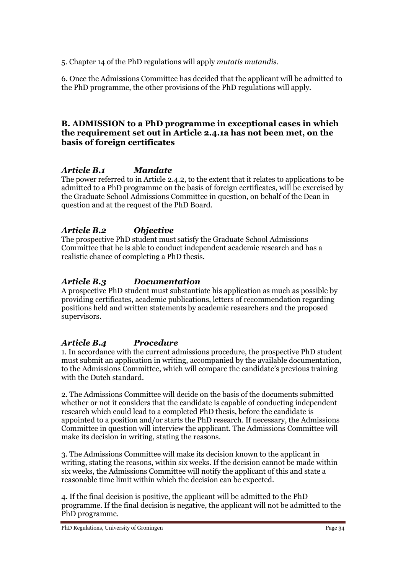5. Chapter 14 of the PhD regulations will apply *mutatis mutandis*.

6. Once the Admissions Committee has decided that the applicant will be admitted to the PhD programme, the other provisions of the PhD regulations will apply.

## **B. ADMISSION to a PhD programme in exceptional cases in which the requirement set out in Article 2.4.1a has not been met, on the basis of foreign certificates**

# *Article B.1 Mandate*

The power referred to in Article 2.4.2, to the extent that it relates to applications to be admitted to a PhD programme on the basis of foreign certificates, will be exercised by the Graduate School Admissions Committee in question, on behalf of the Dean in question and at the request of the PhD Board.

# *Article B.2 Objective*

The prospective PhD student must satisfy the Graduate School Admissions Committee that he is able to conduct independent academic research and has a realistic chance of completing a PhD thesis.

# *Article B.3 Documentation*

A prospective PhD student must substantiate his application as much as possible by providing certificates, academic publications, letters of recommendation regarding positions held and written statements by academic researchers and the proposed supervisors.

# *Article B.4 Procedure*

1. In accordance with the current admissions procedure, the prospective PhD student must submit an application in writing, accompanied by the available documentation, to the Admissions Committee, which will compare the candidate's previous training with the Dutch standard.

2. The Admissions Committee will decide on the basis of the documents submitted whether or not it considers that the candidate is capable of conducting independent research which could lead to a completed PhD thesis, before the candidate is appointed to a position and/or starts the PhD research. If necessary, the Admissions Committee in question will interview the applicant. The Admissions Committee will make its decision in writing, stating the reasons.

3. The Admissions Committee will make its decision known to the applicant in writing, stating the reasons, within six weeks. If the decision cannot be made within six weeks, the Admissions Committee will notify the applicant of this and state a reasonable time limit within which the decision can be expected.

4. If the final decision is positive, the applicant will be admitted to the PhD programme. If the final decision is negative, the applicant will not be admitted to the PhD programme.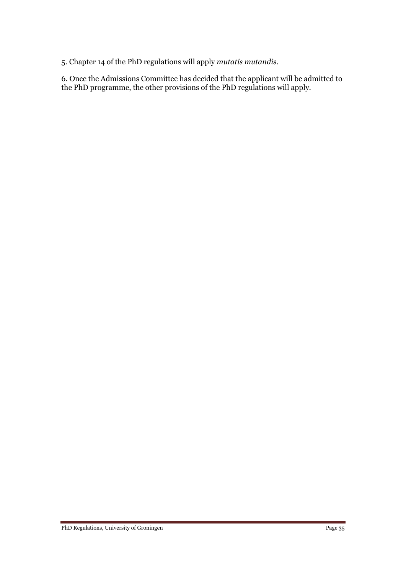5. Chapter 14 of the PhD regulations will apply *mutatis mutandis*.

6. Once the Admissions Committee has decided that the applicant will be admitted to the PhD programme, the other provisions of the PhD regulations will apply.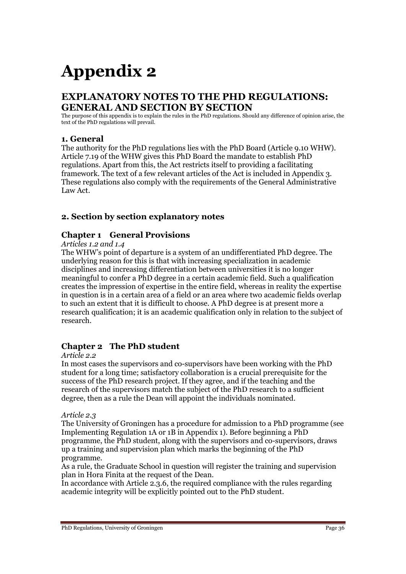# **Appendix 2**

# **EXPLANATORY NOTES TO THE PHD REGULATIONS: GENERAL AND SECTION BY SECTION**

The purpose of this appendix is to explain the rules in the PhD regulations. Should any difference of opinion arise, the text of the PhD regulations will prevail.

### **1. General**

The authority for the PhD regulations lies with the PhD Board (Article 9.10 WHW). Article 7.19 of the WHW gives this PhD Board the mandate to establish PhD regulations. Apart from this, the Act restricts itself to providing a facilitating framework. The text of a few relevant articles of the Act is included in Appendix 3. These regulations also comply with the requirements of the General Administrative Law Act.

# **2. Section by section explanatory notes**

### **Chapter 1 General Provisions**

#### *Articles 1.2 and 1.4*

The WHW's point of departure is a system of an undifferentiated PhD degree. The underlying reason for this is that with increasing specialization in academic disciplines and increasing differentiation between universities it is no longer meaningful to confer a PhD degree in a certain academic field. Such a qualification creates the impression of expertise in the entire field, whereas in reality the expertise in question is in a certain area of a field or an area where two academic fields overlap to such an extent that it is difficult to choose. A PhD degree is at present more a research qualification; it is an academic qualification only in relation to the subject of research.

### **Chapter 2 The PhD student**

#### *Article 2.2*

In most cases the supervisors and co-supervisors have been working with the PhD student for a long time; satisfactory collaboration is a crucial prerequisite for the success of the PhD research project. If they agree, and if the teaching and the research of the supervisors match the subject of the PhD research to a sufficient degree, then as a rule the Dean will appoint the individuals nominated.

#### *Article 2.3*

The University of Groningen has a procedure for admission to a PhD programme (see Implementing Regulation 1A or 1B in Appendix 1). Before beginning a PhD programme, the PhD student, along with the supervisors and co-supervisors, draws up a training and supervision plan which marks the beginning of the PhD programme.

As a rule, the Graduate School in question will register the training and supervision plan in Hora Finita at the request of the Dean.

In accordance with Article 2.3.6, the required compliance with the rules regarding academic integrity will be explicitly pointed out to the PhD student.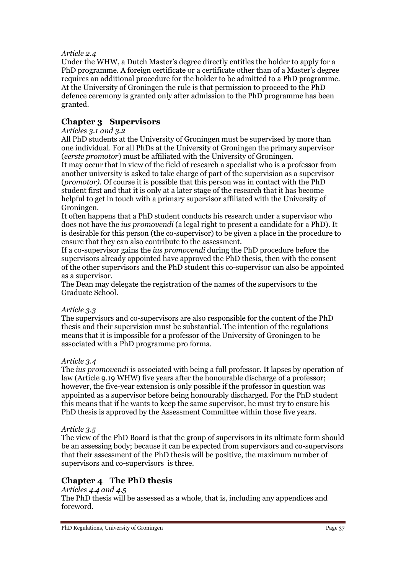#### *Article 2.4*

Under the WHW, a Dutch Master's degree directly entitles the holder to apply for a PhD programme. A foreign certificate or a certificate other than of a Master's degree requires an additional procedure for the holder to be admitted to a PhD programme. At the University of Groningen the rule is that permission to proceed to the PhD defence ceremony is granted only after admission to the PhD programme has been granted.

### **Chapter 3 Supervisors**

#### *Articles 3.1 and 3.2*

All PhD students at the University of Groningen must be supervised by more than one individual. For all PhDs at the University of Groningen the primary supervisor (*eerste promotor*) must be affiliated with the University of Groningen.

It may occur that in view of the field of research a specialist who is a professor from another university is asked to take charge of part of the supervision as a supervisor (*promotor)*. Of course it is possible that this person was in contact with the PhD student first and that it is only at a later stage of the research that it has become helpful to get in touch with a primary supervisor affiliated with the University of Groningen.

It often happens that a PhD student conducts his research under a supervisor who does not have the *ius promovendi* (a legal right to present a candidate for a PhD). It is desirable for this person (the co-supervisor) to be given a place in the procedure to ensure that they can also contribute to the assessment.

If a co-supervisor gains the *ius promovendi* during the PhD procedure before the supervisors already appointed have approved the PhD thesis, then with the consent of the other supervisors and the PhD student this co-supervisor can also be appointed as a supervisor.

The Dean may delegate the registration of the names of the supervisors to the Graduate School.

#### *Article 3.3*

The supervisors and co-supervisors are also responsible for the content of the PhD thesis and their supervision must be substantial. The intention of the regulations means that it is impossible for a professor of the University of Groningen to be associated with a PhD programme pro forma.

#### *Article 3.4*

The *ius promovendi* is associated with being a full professor. It lapses by operation of law (Article 9.19 WHW) five years after the honourable discharge of a professor; however, the five-year extension is only possible if the professor in question was appointed as a supervisor before being honourably discharged. For the PhD student this means that if he wants to keep the same supervisor, he must try to ensure his PhD thesis is approved by the Assessment Committee within those five years.

#### *Article 3.5*

The view of the PhD Board is that the group of supervisors in its ultimate form should be an assessing body; because it can be expected from supervisors and co-supervisors that their assessment of the PhD thesis will be positive, the maximum number of supervisors and co-supervisors is three.

# **Chapter 4 The PhD thesis**

#### *Articles 4.4 and 4.5* The PhD thesis will be assessed as a whole, that is, including any appendices and foreword.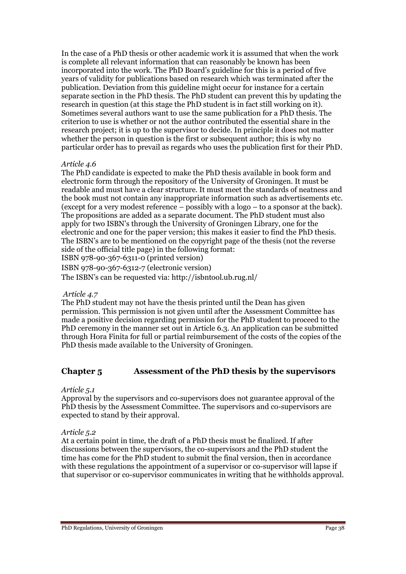In the case of a PhD thesis or other academic work it is assumed that when the work is complete all relevant information that can reasonably be known has been incorporated into the work. The PhD Board's guideline for this is a period of five years of validity for publications based on research which was terminated after the publication. Deviation from this guideline might occur for instance for a certain separate section in the PhD thesis. The PhD student can prevent this by updating the research in question (at this stage the PhD student is in fact still working on it). Sometimes several authors want to use the same publication for a PhD thesis. The criterion to use is whether or not the author contributed the essential share in the research project; it is up to the supervisor to decide. In principle it does not matter whether the person in question is the first or subsequent author; this is why no particular order has to prevail as regards who uses the publication first for their PhD.

#### *Article 4.6*

The PhD candidate is expected to make the PhD thesis available in book form and electronic form through the repository of the University of Groningen. It must be readable and must have a clear structure. It must meet the standards of neatness and the book must not contain any inappropriate information such as advertisements etc. (except for a very modest reference – possibly with a logo – to a sponsor at the back). The propositions are added as a separate document. The PhD student must also apply for two ISBN's through the University of Groningen Library, one for the electronic and one for the paper version; this makes it easier to find the PhD thesis. The ISBN's are to be mentioned on the copyright page of the thesis (not the reverse side of the official title page) in the following format: ISBN 978-90-367-6311-0 (printed version)

ISBN 978-90-367-6312-7 (electronic version) The ISBN's can be requested via: http://isbntool.ub.rug.nl/

#### *Article 4.7*

The PhD student may not have the thesis printed until the Dean has given permission. This permission is not given until after the Assessment Committee has made a positive decision regarding permission for the PhD student to proceed to the PhD ceremony in the manner set out in Article 6.3. An application can be submitted through Hora Finita for full or partial reimbursement of the costs of the copies of the PhD thesis made available to the University of Groningen.

### **Chapter 5 Assessment of the PhD thesis by the supervisors**

#### *Article 5.1*

Approval by the supervisors and co-supervisors does not guarantee approval of the PhD thesis by the Assessment Committee. The supervisors and co-supervisors are expected to stand by their approval.

#### *Article 5.2*

At a certain point in time, the draft of a PhD thesis must be finalized. If after discussions between the supervisors, the co-supervisors and the PhD student the time has come for the PhD student to submit the final version, then in accordance with these regulations the appointment of a supervisor or co-supervisor will lapse if that supervisor or co-supervisor communicates in writing that he withholds approval.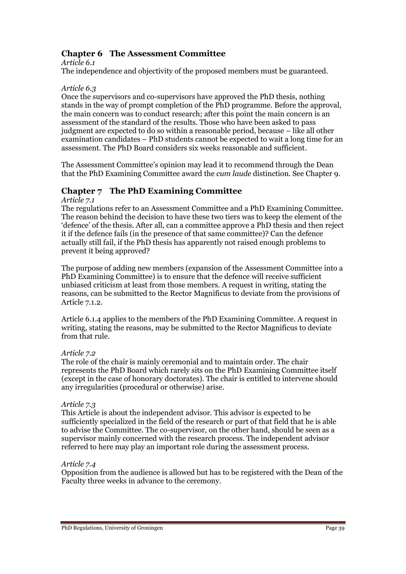# **Chapter 6 The Assessment Committee**

*Article 6.1*

The independence and objectivity of the proposed members must be guaranteed.

#### *Article 6.3*

Once the supervisors and co-supervisors have approved the PhD thesis, nothing stands in the way of prompt completion of the PhD programme. Before the approval, the main concern was to conduct research; after this point the main concern is an assessment of the standard of the results. Those who have been asked to pass judgment are expected to do so within a reasonable period, because – like all other examination candidates – PhD students cannot be expected to wait a long time for an assessment. The PhD Board considers six weeks reasonable and sufficient.

The Assessment Committee's opinion may lead it to recommend through the Dean that the PhD Examining Committee award the *cum laude* distinction. See Chapter 9.

# **Chapter 7 The PhD Examining Committee**

#### *Article 7.1*

The regulations refer to an Assessment Committee and a PhD Examining Committee. The reason behind the decision to have these two tiers was to keep the element of the 'defence' of the thesis. After all, can a committee approve a PhD thesis and then reject it if the defence fails (in the presence of that same committee)? Can the defence actually still fail, if the PhD thesis has apparently not raised enough problems to prevent it being approved?

The purpose of adding new members (expansion of the Assessment Committee into a PhD Examining Committee) is to ensure that the defence will receive sufficient unbiased criticism at least from those members. A request in writing, stating the reasons, can be submitted to the Rector Magnificus to deviate from the provisions of Article 7.1.2.

Article 6.1.4 applies to the members of the PhD Examining Committee. A request in writing, stating the reasons, may be submitted to the Rector Magnificus to deviate from that rule.

#### *Article 7.2*

The role of the chair is mainly ceremonial and to maintain order. The chair represents the PhD Board which rarely sits on the PhD Examining Committee itself (except in the case of honorary doctorates). The chair is entitled to intervene should any irregularities (procedural or otherwise) arise.

#### *Article 7.3*

This Article is about the independent advisor. This advisor is expected to be sufficiently specialized in the field of the research or part of that field that he is able to advise the Committee. The co-supervisor, on the other hand, should be seen as a supervisor mainly concerned with the research process. The independent advisor referred to here may play an important role during the assessment process.

#### *Article 7.4*

Opposition from the audience is allowed but has to be registered with the Dean of the Faculty three weeks in advance to the ceremony.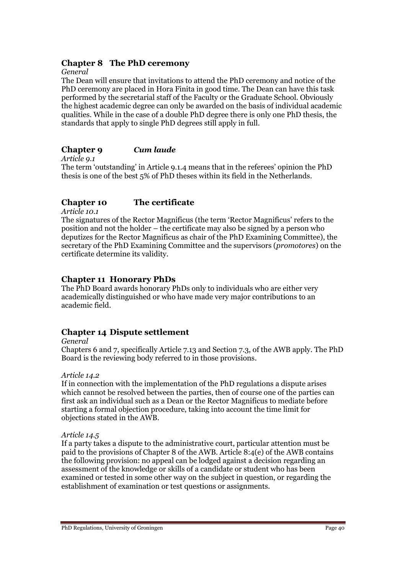### **Chapter 8 The PhD ceremony**

*General*

The Dean will ensure that invitations to attend the PhD ceremony and notice of the PhD ceremony are placed in Hora Finita in good time. The Dean can have this task performed by the secretarial staff of the Faculty or the Graduate School. Obviously the highest academic degree can only be awarded on the basis of individual academic qualities. While in the case of a double PhD degree there is only one PhD thesis, the standards that apply to single PhD degrees still apply in full.

### **Chapter 9** *Cum laude*

*Article 9.1* The term 'outstanding' in Article 9.1.4 means that in the referees' opinion the PhD thesis is one of the best 5% of PhD theses within its field in the Netherlands.

### **Chapter 10 The certificate**

*Article 10.1*

The signatures of the Rector Magnificus (the term 'Rector Magnificus' refers to the position and not the holder – the certificate may also be signed by a person who deputizes for the Rector Magnificus as chair of the PhD Examining Committee), the secretary of the PhD Examining Committee and the supervisors (*promotores*) on the certificate determine its validity.

### **Chapter 11 Honorary PhDs**

The PhD Board awards honorary PhDs only to individuals who are either very academically distinguished or who have made very major contributions to an academic field.

# **Chapter 14 Dispute settlement**

*General*

Chapters 6 and 7, specifically Article 7.13 and Section 7.3, of the AWB apply. The PhD Board is the reviewing body referred to in those provisions.

#### *Article 14.2*

If in connection with the implementation of the PhD regulations a dispute arises which cannot be resolved between the parties, then of course one of the parties can first ask an individual such as a Dean or the Rector Magnificus to mediate before starting a formal objection procedure, taking into account the time limit for objections stated in the AWB.

#### *Article 14.5*

If a party takes a dispute to the administrative court, particular attention must be paid to the provisions of Chapter 8 of the AWB. Article 8:4(e) of the AWB contains the following provision: no appeal can be lodged against a decision regarding an assessment of the knowledge or skills of a candidate or student who has been examined or tested in some other way on the subject in question, or regarding the establishment of examination or test questions or assignments.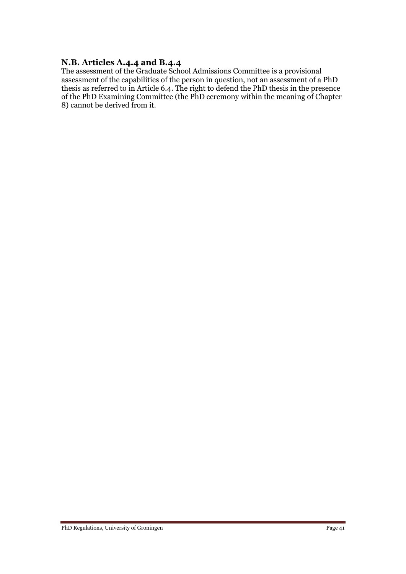#### **N.B. Articles A.4.4 and B.4.4**

The assessment of the Graduate School Admissions Committee is a provisional assessment of the capabilities of the person in question, not an assessment of a PhD thesis as referred to in Article 6.4. The right to defend the PhD thesis in the presence of the PhD Examining Committee (the PhD ceremony within the meaning of Chapter 8) cannot be derived from it.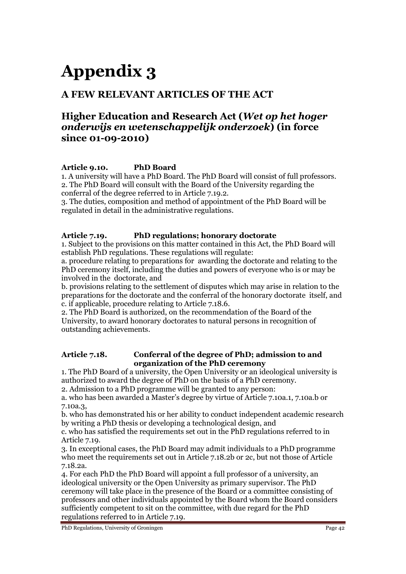# **Appendix 3**

# **A FEW RELEVANT ARTICLES OF THE ACT**

# **Higher Education and Research Act (***Wet op het hoger onderwijs en wetenschappelijk onderzoek***) (in force since 01-09-2010)**

### **Article 9.10. PhD Board**

1. A university will have a PhD Board. The PhD Board will consist of full professors. 2. The PhD Board will consult with the Board of the University regarding the conferral of the degree referred to in Article 7.19.2.

3. The duties, composition and method of appointment of the PhD Board will be regulated in detail in the administrative regulations.

#### **Article 7.19. PhD regulations; honorary doctorate**

1. Subject to the provisions on this matter contained in this Act, the PhD Board will establish PhD regulations. These regulations will regulate:

a. procedure relating to preparations for awarding the doctorate and relating to the PhD ceremony itself, including the duties and powers of everyone who is or may be involved in the doctorate, and

b. provisions relating to the settlement of disputes which may arise in relation to the preparations for the doctorate and the conferral of the honorary doctorate itself, and c. if applicable, procedure relating to Article 7.18.6.

2. The PhD Board is authorized, on the recommendation of the Board of the University, to award honorary doctorates to natural persons in recognition of outstanding achievements.

#### **Article 7.18. Conferral of the degree of PhD; admission to and organization of the PhD ceremony**

1. The PhD Board of a university, the Open University or an ideological university is authorized to award the degree of PhD on the basis of a PhD ceremony.

2. Admission to a PhD programme will be granted to any person:

a. who has been awarded a Master's degree by virtue of Article 7.10a.1, 7.10a.b or 7.10a.3,

b. who has demonstrated his or her ability to conduct independent academic research by writing a PhD thesis or developing a technological design, and

c. who has satisfied the requirements set out in the PhD regulations referred to in Article 7.19.

3. In exceptional cases, the PhD Board may admit individuals to a PhD programme who meet the requirements set out in Article 7.18.2b or 2c, but not those of Article 7.18.2a.

4. For each PhD the PhD Board will appoint a full professor of a university, an ideological university or the Open University as primary supervisor. The PhD ceremony will take place in the presence of the Board or a committee consisting of professors and other individuals appointed by the Board whom the Board considers sufficiently competent to sit on the committee, with due regard for the PhD regulations referred to in Article 7.19.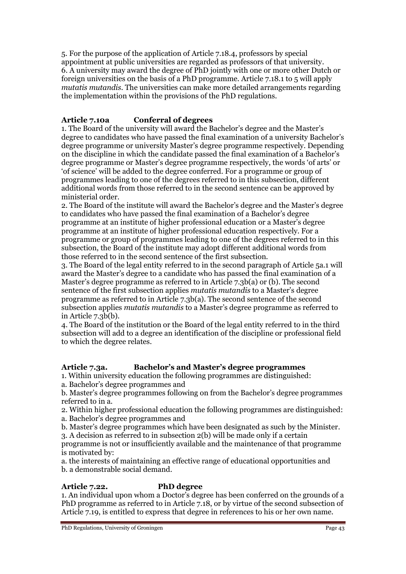5. For the purpose of the application of Article 7.18.4, professors by special appointment at public universities are regarded as professors of that university. 6. A university may award the degree of PhD jointly with one or more other Dutch or foreign universities on the basis of a PhD programme. Article 7.18.1 to 5 will apply *mutatis mutandis*. The universities can make more detailed arrangements regarding the implementation within the provisions of the PhD regulations.

# **Article 7.10a Conferral of degrees**

1. The Board of the university will award the Bachelor's degree and the Master's degree to candidates who have passed the final examination of a university Bachelor's degree programme or university Master's degree programme respectively. Depending on the discipline in which the candidate passed the final examination of a Bachelor's degree programme or Master's degree programme respectively, the words 'of arts' or 'of science' will be added to the degree conferred. For a programme or group of programmes leading to one of the degrees referred to in this subsection, different additional words from those referred to in the second sentence can be approved by ministerial order.

2. The Board of the institute will award the Bachelor's degree and the Master's degree to candidates who have passed the final examination of a Bachelor's degree programme at an institute of higher professional education or a Master's degree programme at an institute of higher professional education respectively. For a programme or group of programmes leading to one of the degrees referred to in this subsection, the Board of the institute may adopt different additional words from those referred to in the second sentence of the first subsection.

3. The Board of the legal entity referred to in the second paragraph of Article 5a.1 will award the Master's degree to a candidate who has passed the final examination of a Master's degree programme as referred to in Article 7.3b(a) or (b). The second sentence of the first subsection applies *mutatis mutandis* to a Master's degree programme as referred to in Article 7.3b(a). The second sentence of the second subsection applies *mutatis mutandis* to a Master's degree programme as referred to in Article 7.3b(b).

4. The Board of the institution or the Board of the legal entity referred to in the third subsection will add to a degree an identification of the discipline or professional field to which the degree relates.

# **Article 7.3a. Bachelor's and Master's degree programmes**

1. Within university education the following programmes are distinguished:

a. Bachelor's degree programmes and

b. Master's degree programmes following on from the Bachelor's degree programmes referred to in a.

- 2. Within higher professional education the following programmes are distinguished: a. Bachelor's degree programmes and
- b. Master's degree programmes which have been designated as such by the Minister.

3. A decision as referred to in subsection 2(b) will be made only if a certain

programme is not or insufficiently available and the maintenance of that programme is motivated by:

a. the interests of maintaining an effective range of educational opportunities and b. a demonstrable social demand.

# **Article 7.22. PhD degree**

1. An individual upon whom a Doctor's degree has been conferred on the grounds of a PhD programme as referred to in Article 7.18, or by virtue of the second subsection of Article 7.19, is entitled to express that degree in references to his or her own name.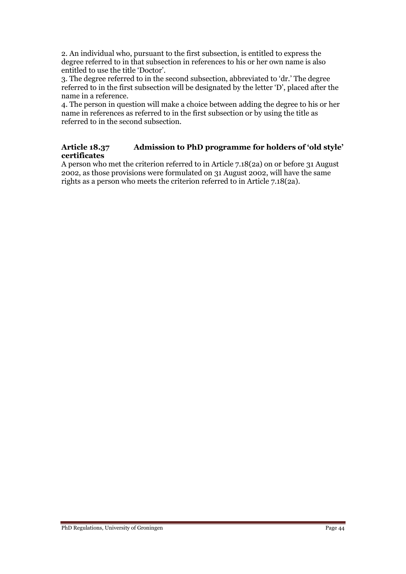2. An individual who, pursuant to the first subsection, is entitled to express the degree referred to in that subsection in references to his or her own name is also entitled to use the title 'Doctor'.

3. The degree referred to in the second subsection, abbreviated to 'dr.' The degree referred to in the first subsection will be designated by the letter 'D', placed after the name in a reference.

4. The person in question will make a choice between adding the degree to his or her name in references as referred to in the first subsection or by using the title as referred to in the second subsection.

#### **Article 18.37 Admission to PhD programme for holders of 'old style' certificates**

A person who met the criterion referred to in Article 7.18(2a) on or before 31 August 2002, as those provisions were formulated on 31 August 2002, will have the same rights as a person who meets the criterion referred to in Article 7.18(2a).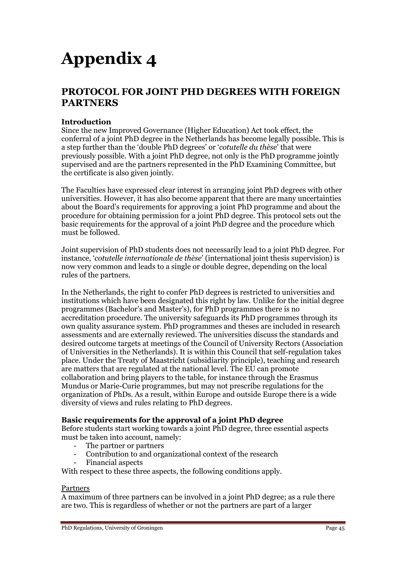# **Appendix 4**

# **PROTOCOL FOR JOINT PHD DEGREES WITH FOREIGN PARTNERS**

#### **Introduction**

Since the new Improved Governance (Higher Education) Act took effect, the conferral of a joint PhD degree in the Netherlands has become legally possible. This is a step further than the 'double PhD degrees' or '*cotutelle du thèse*' that were previously possible. With a joint PhD degree, not only is the PhD programme jointly supervised and are the partners represented in the PhD Examining Committee, but the certificate is also given jointly.

The Faculties have expressed clear interest in arranging joint PhD degrees with other universities. However, it has also become apparent that there are many uncertainties about the Board's requirements for approving a joint PhD programme and about the procedure for obtaining permission for a joint PhD degree. This protocol sets out the basic requirements for the approval of a joint PhD degree and the procedure which must be followed.

Joint supervision of PhD students does not necessarily lead to a joint PhD degree. For instance, '*cotutelle internationale de thèse*' (international joint thesis supervision) is now very common and leads to a single or double degree, depending on the local rules of the partners.

In the Netherlands, the right to confer PhD degrees is restricted to universities and institutions which have been designated this right by law. Unlike for the initial degree programmes (Bachelor's and Master's), for PhD programmes there is no accreditation procedure. The university safeguards its PhD programmes through its own quality assurance system. PhD programmes and theses are included in research assessments and are externally reviewed. The universities discuss the standards and desired outcome targets at meetings of the Council of University Rectors (Association of Universities in the Netherlands). It is within this Council that self-regulation takes place. Under the Treaty of Maastricht (subsidiarity principle), teaching and research are matters that are regulated at the national level. The EU can promote collaboration and bring players to the table, for instance through the Erasmus Mundus or Marie-Curie programmes, but may not prescribe regulations for the organization of PhDs. As a result, within Europe and outside Europe there is a wide diversity of views and rules relating to PhD degrees.

#### **Basic requirements for the approval of a joint PhD degree**

Before students start working towards a joint PhD degree, three essential aspects must be taken into account, namely:

- The partner or partners
- Contribution to and organizational context of the research
- Financial aspects

With respect to these three aspects, the following conditions apply.

#### Partners

A maximum of three partners can be involved in a joint PhD degree; as a rule there are two. This is regardless of whether or not the partners are part of a larger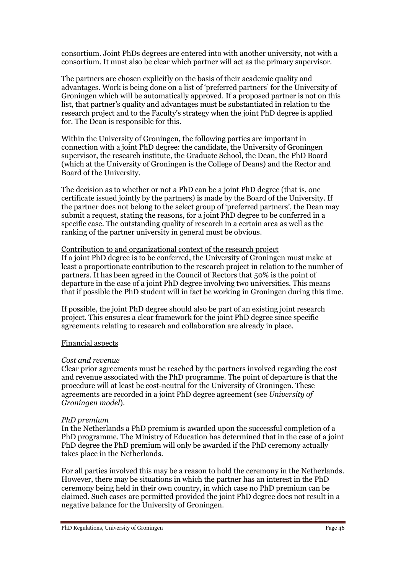consortium. Joint PhDs degrees are entered into with another university, not with a consortium. It must also be clear which partner will act as the primary supervisor.

The partners are chosen explicitly on the basis of their academic quality and advantages. Work is being done on a list of 'preferred partners' for the University of Groningen which will be automatically approved. If a proposed partner is not on this list, that partner's quality and advantages must be substantiated in relation to the research project and to the Faculty's strategy when the joint PhD degree is applied for. The Dean is responsible for this.

Within the University of Groningen, the following parties are important in connection with a joint PhD degree: the candidate, the University of Groningen supervisor, the research institute, the Graduate School, the Dean, the PhD Board (which at the University of Groningen is the College of Deans) and the Rector and Board of the University.

The decision as to whether or not a PhD can be a joint PhD degree (that is, one certificate issued jointly by the partners) is made by the Board of the University. If the partner does not belong to the select group of 'preferred partners', the Dean may submit a request, stating the reasons, for a joint PhD degree to be conferred in a specific case. The outstanding quality of research in a certain area as well as the ranking of the partner university in general must be obvious.

#### Contribution to and organizational context of the research project

If a joint PhD degree is to be conferred, the University of Groningen must make at least a proportionate contribution to the research project in relation to the number of partners. It has been agreed in the Council of Rectors that 50% is the point of departure in the case of a joint PhD degree involving two universities. This means that if possible the PhD student will in fact be working in Groningen during this time.

If possible, the joint PhD degree should also be part of an existing joint research project. This ensures a clear framework for the joint PhD degree since specific agreements relating to research and collaboration are already in place.

#### Financial aspects

#### *Cost and revenue*

Clear prior agreements must be reached by the partners involved regarding the cost and revenue associated with the PhD programme. The point of departure is that the procedure will at least be cost-neutral for the University of Groningen. These agreements are recorded in a joint PhD degree agreement (see *University of Groningen model*).

#### *PhD premium*

In the Netherlands a PhD premium is awarded upon the successful completion of a PhD programme. The Ministry of Education has determined that in the case of a joint PhD degree the PhD premium will only be awarded if the PhD ceremony actually takes place in the Netherlands.

For all parties involved this may be a reason to hold the ceremony in the Netherlands. However, there may be situations in which the partner has an interest in the PhD ceremony being held in their own country, in which case no PhD premium can be claimed. Such cases are permitted provided the joint PhD degree does not result in a negative balance for the University of Groningen.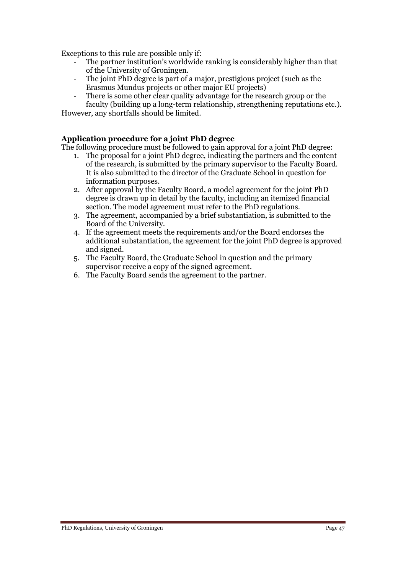Exceptions to this rule are possible only if:

- The partner institution's worldwide ranking is considerably higher than that of the University of Groningen.
- The joint PhD degree is part of a major, prestigious project (such as the Erasmus Mundus projects or other major EU projects)
- There is some other clear quality advantage for the research group or the faculty (building up a long-term relationship, strengthening reputations etc.).

However, any shortfalls should be limited.

#### **Application procedure for a joint PhD degree**

The following procedure must be followed to gain approval for a joint PhD degree:

- 1. The proposal for a joint PhD degree, indicating the partners and the content of the research, is submitted by the primary supervisor to the Faculty Board. It is also submitted to the director of the Graduate School in question for information purposes.
- 2. After approval by the Faculty Board, a model agreement for the joint PhD degree is drawn up in detail by the faculty, including an itemized financial section. The model agreement must refer to the PhD regulations.
- 3. The agreement, accompanied by a brief substantiation, is submitted to the Board of the University.
- 4. If the agreement meets the requirements and/or the Board endorses the additional substantiation, the agreement for the joint PhD degree is approved and signed.
- 5. The Faculty Board, the Graduate School in question and the primary supervisor receive a copy of the signed agreement.
- 6. The Faculty Board sends the agreement to the partner.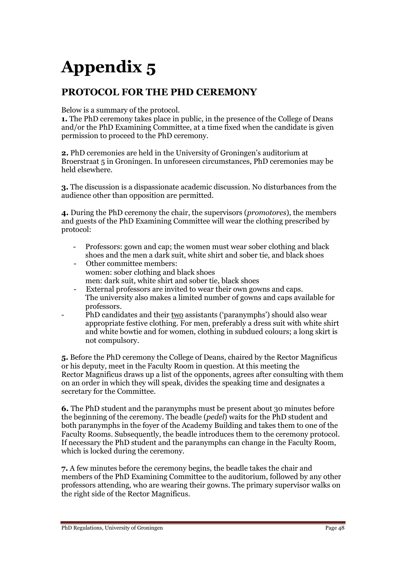# **Appendix 5**

# **PROTOCOL FOR THE PHD CEREMONY**

Below is a summary of the protocol.

**1.** The PhD ceremony takes place in public, in the presence of the College of Deans and/or the PhD Examining Committee, at a time fixed when the candidate is given permission to proceed to the PhD ceremony.

**2.** PhD ceremonies are held in the University of Groningen's auditorium at Broerstraat 5 in Groningen. In unforeseen circumstances, PhD ceremonies may be held elsewhere.

**3.** The discussion is a dispassionate academic discussion. No disturbances from the audience other than opposition are permitted.

**4.** During the PhD ceremony the chair, the supervisors (*promotores*), the members and guests of the PhD Examining Committee will wear the clothing prescribed by protocol:

- Professors: gown and cap; the women must wear sober clothing and black shoes and the men a dark suit, white shirt and sober tie, and black shoes
- Other committee members: women: sober clothing and black shoes men: dark suit, white shirt and sober tie, black shoes
- External professors are invited to wear their own gowns and caps. The university also makes a limited number of gowns and caps available for professors.
- PhD candidates and their <u>two</u> assistants ('paranymphs') should also wear appropriate festive clothing. For men, preferably a dress suit with white shirt and white bowtie and for women, clothing in subdued colours; a long skirt is not compulsory.

**5.** Before the PhD ceremony the College of Deans, chaired by the Rector Magnificus or his deputy, meet in the Faculty Room in question. At this meeting the Rector Magnificus draws up a list of the opponents, agrees after consulting with them on an order in which they will speak, divides the speaking time and designates a secretary for the Committee.

**6.** The PhD student and the paranymphs must be present about 30 minutes before the beginning of the ceremony. The beadle (*pedel*) waits for the PhD student and both paranymphs in the foyer of the Academy Building and takes them to one of the Faculty Rooms. Subsequently, the beadle introduces them to the ceremony protocol. If necessary the PhD student and the paranymphs can change in the Faculty Room, which is locked during the ceremony.

**7.** A few minutes before the ceremony begins, the beadle takes the chair and members of the PhD Examining Committee to the auditorium, followed by any other professors attending, who are wearing their gowns. The primary supervisor walks on the right side of the Rector Magnificus.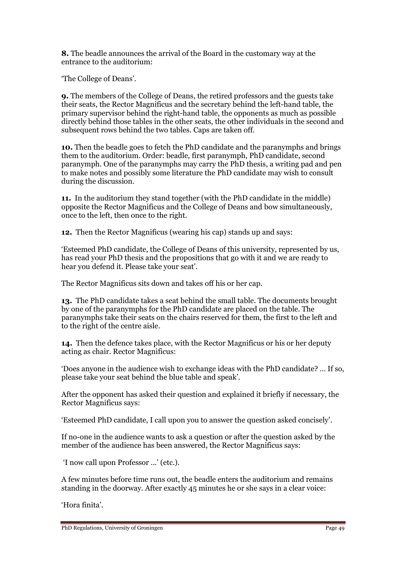**8.** The beadle announces the arrival of the Board in the customary way at the entrance to the auditorium:

'The College of Deans'.

**9.** The members of the College of Deans, the retired professors and the guests take their seats, the Rector Magnificus and the secretary behind the left-hand table, the primary supervisor behind the right-hand table, the opponents as much as possible directly behind those tables in the other seats, the other individuals in the second and subsequent rows behind the two tables. Caps are taken off.

**10.** Then the beadle goes to fetch the PhD candidate and the paranymphs and brings them to the auditorium. Order: beadle, first paranymph, PhD candidate, second paranymph. One of the paranymphs may carry the PhD thesis, a writing pad and pen to make notes and possibly some literature the PhD candidate may wish to consult during the discussion.

**11.** In the auditorium they stand together (with the PhD candidate in the middle) opposite the Rector Magnificus and the College of Deans and bow simultaneously, once to the left, then once to the right.

**12.** Then the Rector Magnificus (wearing his cap) stands up and says:

'Esteemed PhD candidate, the College of Deans of this university, represented by us, has read your PhD thesis and the propositions that go with it and we are ready to hear you defend it. Please take your seat'.

The Rector Magnificus sits down and takes off his or her cap.

**13.** The PhD candidate takes a seat behind the small table. The documents brought by one of the paranymphs for the PhD candidate are placed on the table. The paranymphs take their seats on the chairs reserved for them, the first to the left and to the right of the centre aisle.

**14.** Then the defence takes place, with the Rector Magnificus or his or her deputy acting as chair. Rector Magnificus:

'Does anyone in the audience wish to exchange ideas with the PhD candidate? … If so, please take your seat behind the blue table and speak'.

After the opponent has asked their question and explained it briefly if necessary, the Rector Magnificus says:

'Esteemed PhD candidate, I call upon you to answer the question asked concisely'.

If no-one in the audience wants to ask a question or after the question asked by the member of the audience has been answered, the Rector Magnificus says:

'I now call upon Professor ...' (etc.).

A few minutes before time runs out, the beadle enters the auditorium and remains standing in the doorway. After exactly 45 minutes he or she says in a clear voice:

'Hora finita'.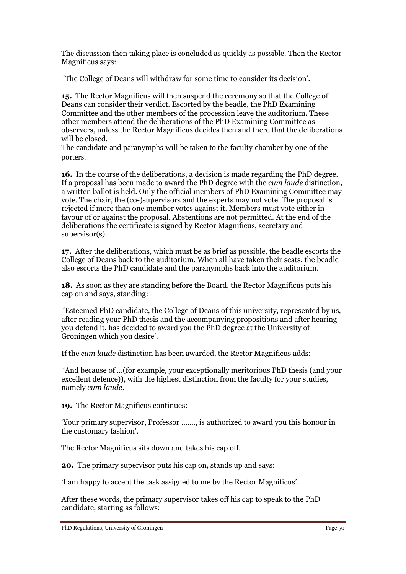The discussion then taking place is concluded as quickly as possible. Then the Rector Magnificus says:

'The College of Deans will withdraw for some time to consider its decision'.

**15.** The Rector Magnificus will then suspend the ceremony so that the College of Deans can consider their verdict. Escorted by the beadle, the PhD Examining Committee and the other members of the procession leave the auditorium. These other members attend the deliberations of the PhD Examining Committee as observers, unless the Rector Magnificus decides then and there that the deliberations will be closed.

The candidate and paranymphs will be taken to the faculty chamber by one of the porters.

**16.** In the course of the deliberations, a decision is made regarding the PhD degree. If a proposal has been made to award the PhD degree with the *cum laude* distinction, a written ballot is held. Only the official members of PhD Examining Committee may vote. The chair, the (co-)supervisors and the experts may not vote. The proposal is rejected if more than one member votes against it. Members must vote either in favour of or against the proposal. Abstentions are not permitted. At the end of the deliberations the certificate is signed by Rector Magnificus, secretary and supervisor(s).

**17.** After the deliberations, which must be as brief as possible, the beadle escorts the College of Deans back to the auditorium. When all have taken their seats, the beadle also escorts the PhD candidate and the paranymphs back into the auditorium.

**18.** As soon as they are standing before the Board, the Rector Magnificus puts his cap on and says, standing:

'Esteemed PhD candidate, the College of Deans of this university, represented by us, after reading your PhD thesis and the accompanying propositions and after hearing you defend it, has decided to award you the PhD degree at the University of Groningen which you desire'.

If the *cum laude* distinction has been awarded, the Rector Magnificus adds:

'And because of ...(for example, your exceptionally meritorious PhD thesis (and your excellent defence)), with the highest distinction from the faculty for your studies, namely *cum laude*.

**19.** The Rector Magnificus continues:

'Your primary supervisor, Professor ......., is authorized to award you this honour in the customary fashion'.

The Rector Magnificus sits down and takes his cap off.

**20.** The primary supervisor puts his cap on, stands up and says:

'I am happy to accept the task assigned to me by the Rector Magnificus'.

After these words, the primary supervisor takes off his cap to speak to the PhD candidate, starting as follows: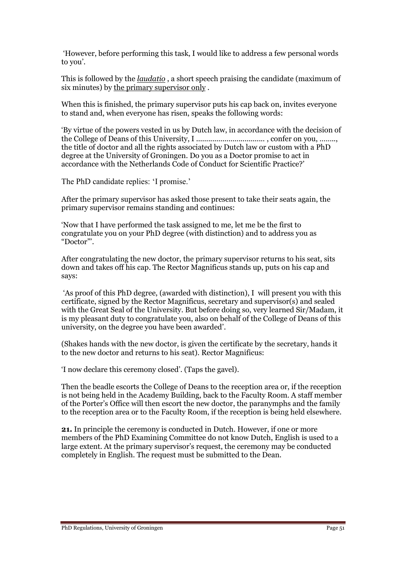'However, before performing this task, I would like to address a few personal words to you'.

This is followed by the *laudatio* , a short speech praising the candidate (maximum of six minutes) by the primary supervisor only .

When this is finished, the primary supervisor puts his cap back on, invites everyone to stand and, when everyone has risen, speaks the following words:

'By virtue of the powers vested in us by Dutch law, in accordance with the decision of the College of Deans of this University, I .................................. , confer on you, …….., the title of doctor and all the rights associated by Dutch law or custom with a PhD degree at the University of Groningen. Do you as a Doctor promise to act in accordance with the Netherlands Code of Conduct for Scientific Practice?'

The PhD candidate replies: 'I promise.'

After the primary supervisor has asked those present to take their seats again, the primary supervisor remains standing and continues:

'Now that I have performed the task assigned to me, let me be the first to congratulate you on your PhD degree (with distinction) and to address you as "Doctor"'.

After congratulating the new doctor, the primary supervisor returns to his seat, sits down and takes off his cap. The Rector Magnificus stands up, puts on his cap and says:

'As proof of this PhD degree, (awarded with distinction), I will present you with this certificate, signed by the Rector Magnificus, secretary and supervisor(s) and sealed with the Great Seal of the University. But before doing so, very learned Sir/Madam, it is my pleasant duty to congratulate you, also on behalf of the College of Deans of this university, on the degree you have been awarded'.

(Shakes hands with the new doctor, is given the certificate by the secretary, hands it to the new doctor and returns to his seat). Rector Magnificus:

'I now declare this ceremony closed'. (Taps the gavel).

Then the beadle escorts the College of Deans to the reception area or, if the reception is not being held in the Academy Building, back to the Faculty Room. A staff member of the Porter's Office will then escort the new doctor, the paranymphs and the family to the reception area or to the Faculty Room, if the reception is being held elsewhere.

**21.** In principle the ceremony is conducted in Dutch. However, if one or more members of the PhD Examining Committee do not know Dutch, English is used to a large extent. At the primary supervisor's request, the ceremony may be conducted completely in English. The request must be submitted to the Dean.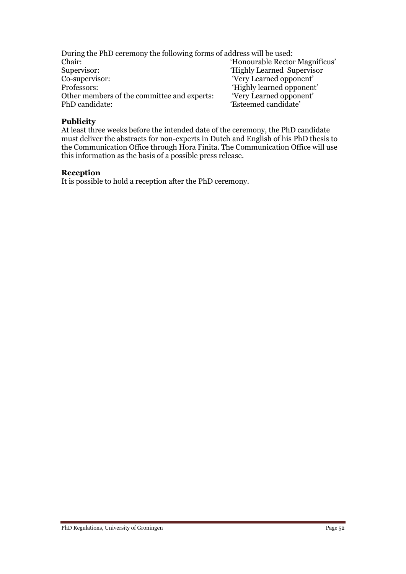During the PhD ceremony the following forms of address will be used: Chair: 'Honourable Rector Magnificus'<br>Supervisor: 'Highly Learned Supervisor Supervisor:<br>
Co-supervisor:<br>
Co-supervisor:<br>
The extending of the extendion of the extendion of the extendion of the extending of the extending of the extending of the extending of the extending of the extending of the ext Co-supervisor: 'Very Learned opponent'<br>Professors: 'Highly learned opponent' 'Highly learned opponent'<br>'Very Learned opponent' Other members of the committee and experts: PhD candidate: 'Esteemed candidate'

#### **Publicity**

At least three weeks before the intended date of the ceremony, the PhD candidate must deliver the abstracts for non-experts in Dutch and English of his PhD thesis to the Communication Office through Hora Finita. The Communication Office will use this information as the basis of a possible press release.

#### **Reception**

It is possible to hold a reception after the PhD ceremony.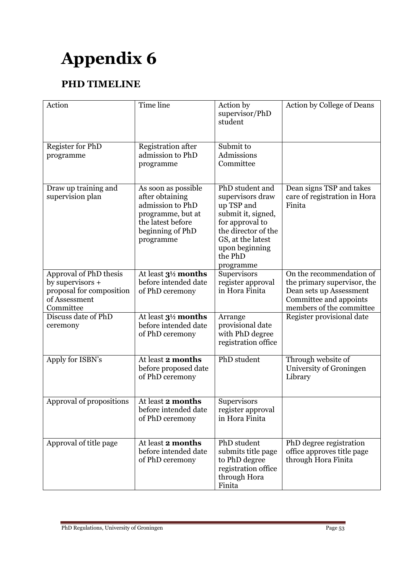# **Appendix 6**

# **PHD TIMELINE**

| Action                                                                                                 | Time line                                                                                                                             | Action by<br>supervisor/PhD<br>student                                                                                                                                           | Action by College of Deans                                                                                                               |
|--------------------------------------------------------------------------------------------------------|---------------------------------------------------------------------------------------------------------------------------------------|----------------------------------------------------------------------------------------------------------------------------------------------------------------------------------|------------------------------------------------------------------------------------------------------------------------------------------|
| <b>Register for PhD</b><br>programme                                                                   | <b>Registration after</b><br>admission to PhD<br>programme                                                                            | Submit to<br>Admissions<br>Committee                                                                                                                                             |                                                                                                                                          |
| Draw up training and<br>supervision plan                                                               | As soon as possible<br>after obtaining<br>admission to PhD<br>programme, but at<br>the latest before<br>beginning of PhD<br>programme | PhD student and<br>supervisors draw<br>up TSP and<br>submit it, signed,<br>for approval to<br>the director of the<br>GS, at the latest<br>upon beginning<br>the PhD<br>programme | Dean signs TSP and takes<br>care of registration in Hora<br>Finita                                                                       |
| Approval of PhD thesis<br>by supervisors $+$<br>proposal for composition<br>of Assessment<br>Committee | At least 3 <sup>1/2</sup> months<br>before intended date<br>of PhD ceremony                                                           | Supervisors<br>register approval<br>in Hora Finita                                                                                                                               | On the recommendation of<br>the primary supervisor, the<br>Dean sets up Assessment<br>Committee and appoints<br>members of the committee |
| Discuss date of PhD<br>ceremony                                                                        | At least $3\frac{1}{2}$ months<br>before intended date<br>of PhD ceremony                                                             | Arrange<br>provisional date<br>with PhD degree<br>registration office                                                                                                            | Register provisional date                                                                                                                |
| Apply for ISBN's                                                                                       | At least 2 months<br>before proposed date<br>of PhD ceremony                                                                          | PhD student                                                                                                                                                                      | Through website of<br>University of Groningen<br>Library                                                                                 |
| Approval of propositions                                                                               | At least 2 months<br>before intended date<br>of PhD ceremony                                                                          | Supervisors<br>register approval<br>in Hora Finita                                                                                                                               |                                                                                                                                          |
| Approval of title page                                                                                 | At least 2 months<br>before intended date<br>of PhD ceremony                                                                          | PhD student<br>submits title page<br>to PhD degree<br>registration office<br>through Hora<br>Finita                                                                              | PhD degree registration<br>office approves title page<br>through Hora Finita                                                             |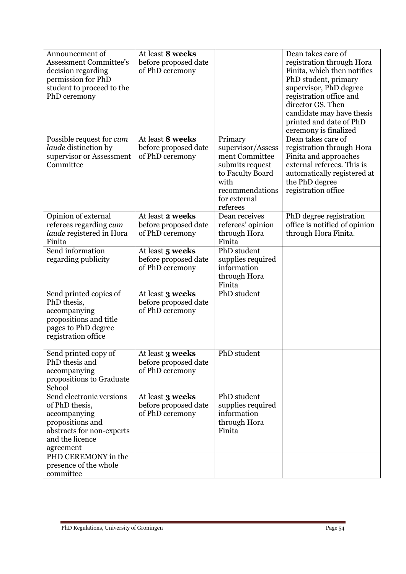| Announcement of                  | At least 8 weeks        |                   | Dean takes care of            |
|----------------------------------|-------------------------|-------------------|-------------------------------|
| <b>Assessment Committee's</b>    | before proposed date    |                   | registration through Hora     |
| decision regarding               | of PhD ceremony         |                   | Finita, which then notifies   |
| permission for PhD               |                         |                   | PhD student, primary          |
| student to proceed to the        |                         |                   | supervisor, PhD degree        |
| PhD ceremony                     |                         |                   | registration office and       |
|                                  |                         |                   | director GS. Then             |
|                                  |                         |                   | candidate may have thesis     |
|                                  |                         |                   | printed and date of PhD       |
|                                  |                         |                   | ceremony is finalized         |
| Possible request for <i>cum</i>  | At least 8 weeks        | Primary           | Dean takes care of            |
| laude distinction by             | before proposed date    | supervisor/Assess | registration through Hora     |
| supervisor or Assessment         | of PhD ceremony         | ment Committee    | Finita and approaches         |
| Committee                        |                         | submits request   | external referees. This is    |
|                                  |                         | to Faculty Board  | automatically registered at   |
|                                  |                         | with              | the PhD degree                |
|                                  |                         | recommendations   | registration office           |
|                                  |                         | for external      |                               |
|                                  |                         | referees          |                               |
| Opinion of external              | At least 2 weeks        | Dean receives     | PhD degree registration       |
| referees regarding cum           | before proposed date    | referees' opinion | office is notified of opinion |
| laude registered in Hora         | of PhD ceremony         | through Hora      | through Hora Finita.          |
| Finita                           |                         | Finita            |                               |
| Send information                 | At least 5 weeks        | PhD student       |                               |
| regarding publicity              | before proposed date    | supplies required |                               |
|                                  | of PhD ceremony         | information       |                               |
|                                  |                         | through Hora      |                               |
|                                  |                         | Finita            |                               |
| Send printed copies of           | At least 3 weeks        | PhD student       |                               |
| PhD thesis,                      | before proposed date    |                   |                               |
| accompanying                     | of PhD ceremony         |                   |                               |
| propositions and title           |                         |                   |                               |
| pages to PhD degree              |                         |                   |                               |
| registration office              |                         |                   |                               |
|                                  |                         |                   |                               |
| Send printed copy of             | At least <b>3 weeks</b> | PhD student       |                               |
| PhD thesis and                   | before proposed date    |                   |                               |
| accompanying                     | of PhD ceremony         |                   |                               |
| propositions to Graduate         |                         |                   |                               |
| School                           |                         |                   |                               |
| Send electronic versions         | At least 3 weeks        | PhD student       |                               |
| of PhD thesis,                   | before proposed date    | supplies required |                               |
| accompanying                     | of PhD ceremony         | information       |                               |
| propositions and                 |                         | through Hora      |                               |
|                                  |                         | Finita            |                               |
| abstracts for non-experts        |                         |                   |                               |
| and the licence                  |                         |                   |                               |
| agreement<br>PHD CEREMONY in the |                         |                   |                               |
|                                  |                         |                   |                               |
| presence of the whole            |                         |                   |                               |
| committee                        |                         |                   |                               |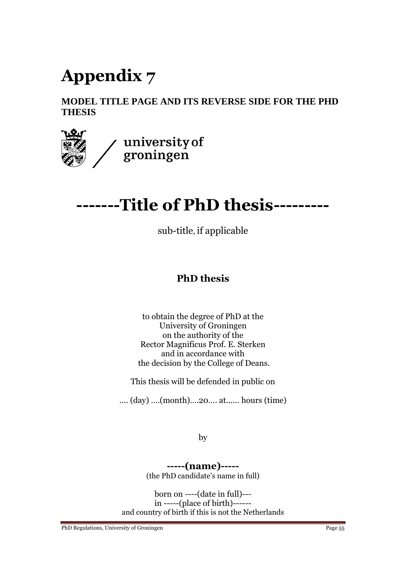# **Appendix 7**

# **MODEL TITLE PAGE AND ITS REVERSE SIDE FOR THE PHD THESIS**



# **-------Title of PhD thesis---------**

sub-title, if applicable

# **PhD thesis**

to obtain the degree of PhD at the University of Groningen on the authority of the Rector Magnificus Prof. E. Sterken and in accordance with the decision by the College of Deans.

This thesis will be defended in public on

…. (day) ….(month)….20…. at...... hours (time)

by

**-----(name)-----** (the PhD candidate's name in full)

born on ----(date in full)-- in -----(place of birth)----- and country of birth if this is not the Netherlands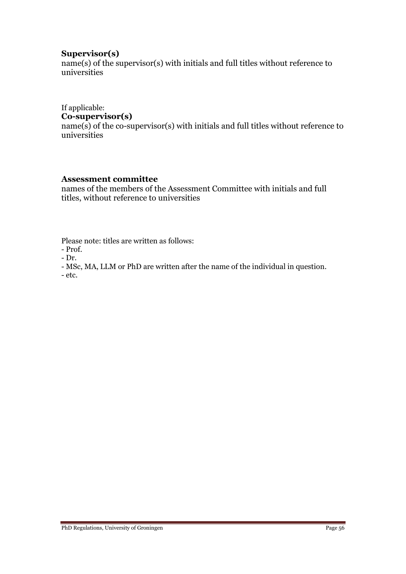### **Supervisor(s)**

name(s) of the supervisor(s) with initials and full titles without reference to universities

### If applicable:

# **Co-supervisor(s)**

 $name(s)$  of the co-supervisor(s) with initials and full titles without reference to universities

### **Assessment committee**

names of the members of the Assessment Committee with initials and full titles, without reference to universities

Please note: titles are written as follows:

- Prof.

- Dr.

- MSc, MA, LLM or PhD are written after the name of the individual in question.

- etc.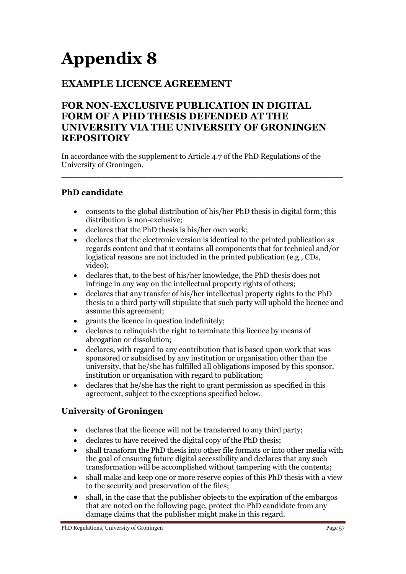# **Appendix 8**

# **EXAMPLE LICENCE AGREEMENT**

# **FOR NON-EXCLUSIVE PUBLICATION IN DIGITAL FORM OF A PHD THESIS DEFENDED AT THE UNIVERSITY VIA THE UNIVERSITY OF GRONINGEN REPOSITORY**

In accordance with the supplement to Article 4.7 of the PhD Regulations of the University of Groningen.

# **PhD candidate**

 consents to the global distribution of his/her PhD thesis in digital form; this distribution is non-exclusive;

**\_\_\_\_\_\_\_\_\_\_\_\_\_\_\_\_\_\_\_\_\_\_\_\_\_\_\_\_\_\_\_\_\_\_\_\_\_\_\_\_\_\_\_\_\_\_\_\_\_**

- declares that the PhD thesis is his/her own work;
- declares that the electronic version is identical to the printed publication as regards content and that it contains all components that for technical and/or logistical reasons are not included in the printed publication (e.g., CDs, video);
- declares that, to the best of his/her knowledge, the PhD thesis does not infringe in any way on the intellectual property rights of others;
- declares that any transfer of his/her intellectual property rights to the PhD thesis to a third party will stipulate that such party will uphold the licence and assume this agreement;
- grants the licence in question indefinitely;
- declares to relinquish the right to terminate this licence by means of abrogation or dissolution;
- declares, with regard to any contribution that is based upon work that was sponsored or subsidised by any institution or organisation other than the university, that he/she has fulfilled all obligations imposed by this sponsor, institution or organisation with regard to publication;
- declares that he/she has the right to grant permission as specified in this agreement, subject to the exceptions specified below.

# **University of Groningen**

- declares that the licence will not be transferred to any third party;
- declares to have received the digital copy of the PhD thesis;
- shall transform the PhD thesis into other file formats or into other media with the goal of ensuring future digital accessibility and declares that any such transformation will be accomplished without tampering with the contents;
- shall make and keep one or more reserve copies of this PhD thesis with a view to the security and preservation of the files;
- shall, in the case that the publisher objects to the expiration of the embargos that are noted on the following page, protect the PhD candidate from any damage claims that the publisher might make in this regard.